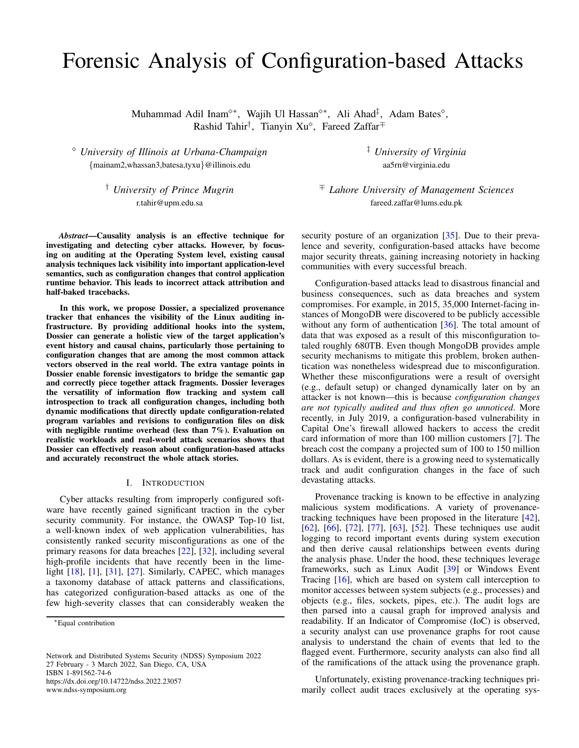# Forensic Analysis of Configuration-based Attacks

Muhammad Adil Inam<sup>⊹\*</sup>, Wajih Ul Hassan<sup>↑\*</sup>, Ali Ahad<sup>‡</sup>, Adam Bates<sup>^</sup>, Rashid Tahir<sup>†</sup>, Tianyin Xu<sup>o</sup>, Fareed Zaffar<sup>∓</sup>

 *University of Illinois at Urbana-Champaign* {mainam2,whassan3,batesa,tyxu}@illinois.edu

> † *University of Prince Mugrin* r.tahir@upm.edu.sa

*Abstract*—Causality analysis is an effective technique for investigating and detecting cyber attacks. However, by focusing on auditing at the Operating System level, existing causal analysis techniques lack visibility into important application-level semantics, such as configuration changes that control application runtime behavior. This leads to incorrect attack attribution and half-baked tracebacks.

In this work, we propose Dossier, a specialized provenance tracker that enhances the visibility of the Linux auditing infrastructure. By providing additional hooks into the system, Dossier can generate a holistic view of the target application's event history and causal chains, particularly those pertaining to configuration changes that are among the most common attack vectors observed in the real world. The extra vantage points in Dossier enable forensic investigators to bridge the semantic gap and correctly piece together attack fragments. Dossier leverages the versatility of information flow tracking and system call introspection to track all configuration changes, including both dynamic modifications that directly update configuration-related program variables and revisions to configuration files on disk with negligible runtime overhead (less than 7%). Evaluation on realistic workloads and real-world attack scenarios shows that Dossier can effectively reason about configuration-based attacks and accurately reconstruct the whole attack stories.

#### I. INTRODUCTION

Cyber attacks resulting from improperly configured software have recently gained significant traction in the cyber security community. For instance, the OWASP Top-10 list, a well-known index of web application vulnerabilities, has consistently ranked security misconfigurations as one of the primary reasons for data breaches [\[22\]](#page-14-0), [\[32\]](#page-14-1), including several high-profile incidents that have recently been in the limelight [\[18\]](#page-14-2), [\[1\]](#page-14-3), [\[31\]](#page-14-4), [\[27\]](#page-14-5). Similarly, CAPEC, which manages a taxonomy database of attack patterns and classifications, has categorized configuration-based attacks as one of the few high-severity classes that can considerably weaken the

Network and Distributed Systems Security (NDSS) Symposium 2022 27 February - 3 March 2022, San Diego, CA, USA ISBN 1-891562-74-6 https://dx.doi.org/10.14722/ndss.2022.23057 www.ndss-symposium.org

‡ *University of Virginia* aa5rn@virginia.edu

<sup>∓</sup> *Lahore University of Management Sciences* fareed.zaffar@lums.edu.pk

security posture of an organization [\[35\]](#page-14-6). Due to their prevalence and severity, configuration-based attacks have become major security threats, gaining increasing notoriety in hacking communities with every successful breach.

Configuration-based attacks lead to disastrous financial and business consequences, such as data breaches and system compromises. For example, in 2015, 35,000 Internet-facing instances of MongoDB were discovered to be publicly accessible without any form of authentication [\[36\]](#page-14-7). The total amount of data that was exposed as a result of this misconfiguration totaled roughly 680TB. Even though MongoDB provides ample security mechanisms to mitigate this problem, broken authentication was nonetheless widespread due to misconfiguration. Whether these misconfigurations were a result of oversight (e.g., default setup) or changed dynamically later on by an attacker is not known—this is because *configuration changes are not typically audited and thus often go unnoticed*. More recently, in July 2019, a configuration-based vulnerability in Capital One's firewall allowed hackers to access the credit card information of more than 100 million customers [\[7\]](#page-14-8). The breach cost the company a projected sum of 100 to 150 million dollars. As is evident, there is a growing need to systematically track and audit configuration changes in the face of such devastating attacks.

Provenance tracking is known to be effective in analyzing malicious system modifications. A variety of provenancetracking techniques have been proposed in the literature [\[42\]](#page-14-9), [\[62\]](#page-15-0), [\[66\]](#page-15-1), [\[72\]](#page-15-2), [\[77\]](#page-15-3), [\[63\]](#page-15-4), [\[52\]](#page-14-10). These techniques use audit logging to record important events during system execution and then derive causal relationships between events during the analysis phase. Under the hood, these techniques leverage frameworks, such as Linux Audit [\[39\]](#page-14-11) or Windows Event Tracing [\[16\]](#page-14-12), which are based on system call interception to monitor accesses between system subjects (e.g., processes) and objects (e.g., files, sockets, pipes, etc.). The audit logs are then parsed into a causal graph for improved analysis and readability. If an Indicator of Compromise (IoC) is observed, a security analyst can use provenance graphs for root cause analysis to understand the chain of events that led to the flagged event. Furthermore, security analysts can also find all of the ramifications of the attack using the provenance graph.

Unfortunately, existing provenance-tracking techniques primarily collect audit traces exclusively at the operating sys-

<sup>∗</sup>Equal contribution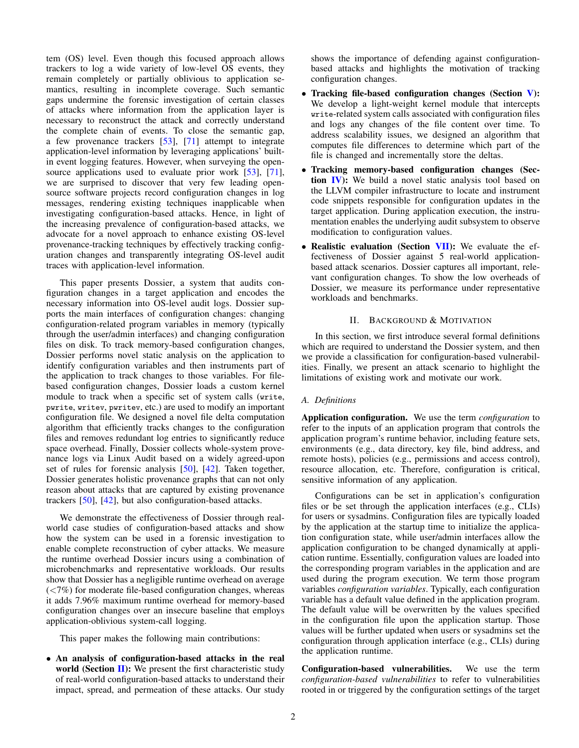tem (OS) level. Even though this focused approach allows trackers to log a wide variety of low-level OS events, they remain completely or partially oblivious to application semantics, resulting in incomplete coverage. Such semantic gaps undermine the forensic investigation of certain classes of attacks where information from the application layer is necessary to reconstruct the attack and correctly understand the complete chain of events. To close the semantic gap, a few provenance trackers [\[53\]](#page-14-13), [\[71\]](#page-15-5) attempt to integrate application-level information by leveraging applications' builtin event logging features. However, when surveying the open-source applications used to evaluate prior work [\[53\]](#page-14-13), [\[71\]](#page-15-5), we are surprised to discover that very few leading opensource software projects record configuration changes in log messages, rendering existing techniques inapplicable when investigating configuration-based attacks. Hence, in light of the increasing prevalence of configuration-based attacks, we advocate for a novel approach to enhance existing OS-level provenance-tracking techniques by effectively tracking configuration changes and transparently integrating OS-level audit traces with application-level information.

This paper presents Dossier, a system that audits configuration changes in a target application and encodes the necessary information into OS-level audit logs. Dossier supports the main interfaces of configuration changes: changing configuration-related program variables in memory (typically through the user/admin interfaces) and changing configuration files on disk. To track memory-based configuration changes, Dossier performs novel static analysis on the application to identify configuration variables and then instruments part of the application to track changes to those variables. For filebased configuration changes, Dossier loads a custom kernel module to track when a specific set of system calls (write, pwrite, writev, pwritev, etc.) are used to modify an important configuration file. We designed a novel file delta computation algorithm that efficiently tracks changes to the configuration files and removes redundant log entries to significantly reduce space overhead. Finally, Dossier collects whole-system provenance logs via Linux Audit based on a widely agreed-upon set of rules for forensic analysis  $[50]$ ,  $[42]$ . Taken together, Dossier generates holistic provenance graphs that can not only reason about attacks that are captured by existing provenance trackers [\[50\]](#page-14-14), [\[42\]](#page-14-9), but also configuration-based attacks.

We demonstrate the effectiveness of Dossier through realworld case studies of configuration-based attacks and show how the system can be used in a forensic investigation to enable complete reconstruction of cyber attacks. We measure the runtime overhead Dossier incurs using a combination of microbenchmarks and representative workloads. Our results show that Dossier has a negligible runtime overhead on average  $\left(\langle 7\% \rangle\right)$  for moderate file-based configuration changes, whereas it adds 7.96% maximum runtime overhead for memory-based configuration changes over an insecure baseline that employs application-oblivious system-call logging.

This paper makes the following main contributions:

• An analysis of configuration-based attacks in the real world (Section  $\Pi$ ): We present the first characteristic study of real-world configuration-based attacks to understand their impact, spread, and permeation of these attacks. Our study shows the importance of defending against configurationbased attacks and highlights the motivation of tracking configuration changes.

- Tracking file-based configuration changes (Section [V\)](#page-7-0): We develop a light-weight kernel module that intercepts write-related system calls associated with configuration files and logs any changes of the file content over time. To address scalability issues, we designed an algorithm that computes file differences to determine which part of the file is changed and incrementally store the deltas.
- Tracking memory-based configuration changes (Sec-tion [IV\)](#page-5-0): We build a novel static analysis tool based on the LLVM compiler infrastructure to locate and instrument code snippets responsible for configuration updates in the target application. During application execution, the instrumentation enables the underlying audit subsystem to observe modification to configuration values.
- Realistic evaluation (Section [VII\)](#page-9-0): We evaluate the effectiveness of Dossier against 5 real-world applicationbased attack scenarios. Dossier captures all important, relevant configuration changes. To show the low overheads of Dossier, we measure its performance under representative workloads and benchmarks.

# II. BACKGROUND & MOTIVATION

<span id="page-1-0"></span>In this section, we first introduce several formal definitions which are required to understand the Dossier system, and then we provide a classification for configuration-based vulnerabilities. Finally, we present an attack scenario to highlight the limitations of existing work and motivate our work.

# *A. Definitions*

Application configuration. We use the term *configuration* to refer to the inputs of an application program that controls the application program's runtime behavior, including feature sets, environments (e.g., data directory, key file, bind address, and remote hosts), policies (e.g., permissions and access control), resource allocation, etc. Therefore, configuration is critical, sensitive information of any application.

Configurations can be set in application's configuration files or be set through the application interfaces (e.g., CLIs) for users or sysadmins. Configuration files are typically loaded by the application at the startup time to initialize the application configuration state, while user/admin interfaces allow the application configuration to be changed dynamically at application runtime. Essentially, configuration values are loaded into the corresponding program variables in the application and are used during the program execution. We term those program variables *configuration variables*. Typically, each configuration variable has a default value defined in the application program. The default value will be overwritten by the values specified in the configuration file upon the application startup. Those values will be further updated when users or sysadmins set the configuration through application interface (e.g., CLIs) during the application runtime.

Configuration-based vulnerabilities. We use the term *configuration-based vulnerabilities* to refer to vulnerabilities rooted in or triggered by the configuration settings of the target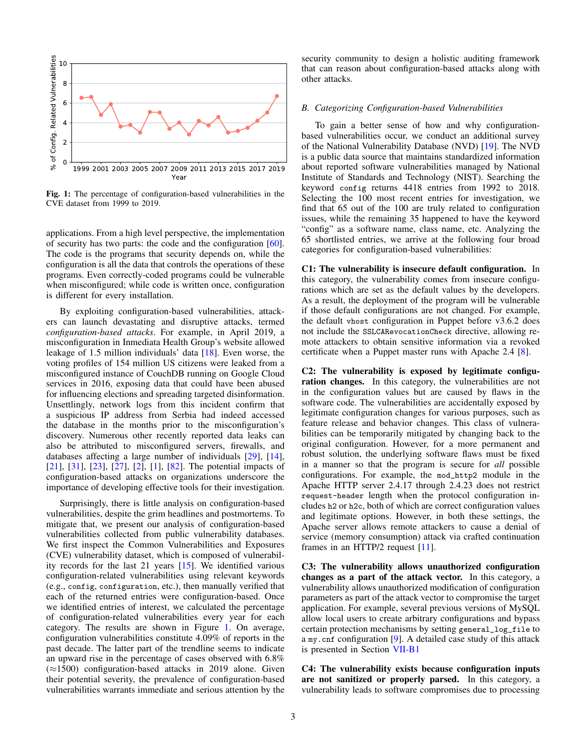<span id="page-2-0"></span>

Fig. 1: The percentage of configuration-based vulnerabilities in the CVE dataset from 1999 to 2019.

applications. From a high level perspective, the implementation of security has two parts: the code and the configuration [\[60\]](#page-15-6). The code is the programs that security depends on, while the configuration is all the data that controls the operations of these programs. Even correctly-coded programs could be vulnerable when misconfigured; while code is written once, configuration is different for every installation.

By exploiting configuration-based vulnerabilities, attackers can launch devastating and disruptive attacks, termed *configuration-based attacks*. For example, in April 2019, a misconfiguration in Inmediata Health Group's website allowed leakage of 1.5 million individuals' data [\[18\]](#page-14-2). Even worse, the voting profiles of 154 million US citizens were leaked from a misconfigured instance of CouchDB running on Google Cloud services in 2016, exposing data that could have been abused for influencing elections and spreading targeted disinformation. Unsettlingly, network logs from this incident confirm that a suspicious IP address from Serbia had indeed accessed the database in the months prior to the misconfiguration's discovery. Numerous other recently reported data leaks can also be attributed to misconfigured servers, firewalls, and databases affecting a large number of individuals [\[29\]](#page-14-15), [\[14\]](#page-14-16), [\[21\]](#page-14-17), [\[31\]](#page-14-4), [\[23\]](#page-14-18), [\[27\]](#page-14-5), [\[2\]](#page-14-19), [\[1\]](#page-14-3), [\[82\]](#page-15-7). The potential impacts of configuration-based attacks on organizations underscore the importance of developing effective tools for their investigation.

Surprisingly, there is little analysis on configuration-based vulnerabilities, despite the grim headlines and postmortems. To mitigate that, we present our analysis of configuration-based vulnerabilities collected from public vulnerability databases. We first inspect the Common Vulnerabilities and Exposures (CVE) vulnerability dataset, which is composed of vulnerability records for the last 21 years [\[15\]](#page-14-20). We identified various configuration-related vulnerabilities using relevant keywords (e.g., config, configuration, etc.), then manually verified that each of the returned entries were configuration-based. Once we identified entries of interest, we calculated the percentage of configuration-related vulnerabilities every year for each category. The results are shown in Figure [1.](#page-2-0) On average, configuration vulnerabilities constitute 4.09% of reports in the past decade. The latter part of the trendline seems to indicate an upward rise in the percentage of cases observed with 6.8% (≈1500) configuration-based attacks in 2019 alone. Given their potential severity, the prevalence of configuration-based vulnerabilities warrants immediate and serious attention by the security community to design a holistic auditing framework that can reason about configuration-based attacks along with other attacks.

# *B. Categorizing Configuration-based Vulnerabilities*

To gain a better sense of how and why configurationbased vulnerabilities occur, we conduct an additional survey of the National Vulnerability Database (NVD) [\[19\]](#page-14-21). The NVD is a public data source that maintains standardized information about reported software vulnerabilities managed by National Institute of Standards and Technology (NIST). Searching the keyword config returns 4418 entries from 1992 to 2018. Selecting the 100 most recent entries for investigation, we find that 65 out of the 100 are truly related to configuration issues, while the remaining 35 happened to have the keyword "config" as a software name, class name, etc. Analyzing the 65 shortlisted entries, we arrive at the following four broad categories for configuration-based vulnerabilities:

C1: The vulnerability is insecure default configuration. In this category, the vulnerability comes from insecure configurations which are set as the default values by the developers. As a result, the deployment of the program will be vulnerable if those default configurations are not changed. For example, the default vhost configuration in Puppet before v3.6.2 does not include the SSLCARevocationCheck directive, allowing remote attackers to obtain sensitive information via a revoked certificate when a Puppet master runs with Apache 2.4 [\[8\]](#page-14-22).

C2: The vulnerability is exposed by legitimate configuration changes. In this category, the vulnerabilities are not in the configuration values but are caused by flaws in the software code. The vulnerabilities are accidentally exposed by legitimate configuration changes for various purposes, such as feature release and behavior changes. This class of vulnerabilities can be temporarily mitigated by changing back to the original configuration. However, for a more permanent and robust solution, the underlying software flaws must be fixed in a manner so that the program is secure for *all* possible configurations. For example, the mod\_http2 module in the Apache HTTP server 2.4.17 through 2.4.23 does not restrict request-header length when the protocol configuration includes h2 or h2c, both of which are correct configuration values and legitimate options. However, in both these settings, the Apache server allows remote attackers to cause a denial of service (memory consumption) attack via crafted continuation frames in an HTTP/2 request [\[11\]](#page-14-23).

C3: The vulnerability allows unauthorized configuration changes as a part of the attack vector. In this category, a vulnerability allows unauthorized modification of configuration parameters as part of the attack vector to compromise the target application. For example, several previous versions of MySQL allow local users to create arbitrary configurations and bypass certain protection mechanisms by setting general\_log\_file to a my.cnf configuration [\[9\]](#page-14-24). A detailed case study of this attack is presented in Section [VII-B1](#page-11-0)

C4: The vulnerability exists because configuration inputs are not sanitized or properly parsed. In this category, a vulnerability leads to software compromises due to processing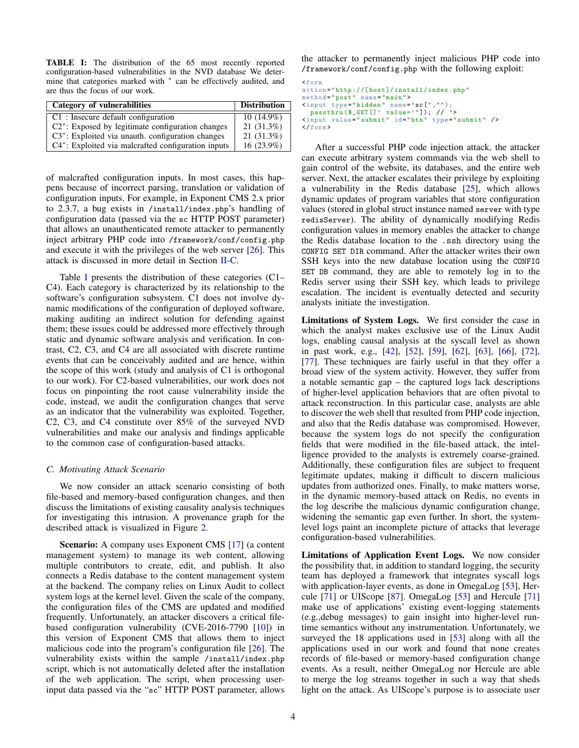<span id="page-3-1"></span>TABLE I: The distribution of the 65 most recently reported configuration-based vulnerabilities in the NVD database We determine that categories marked with  $*$  can be effectively audited, and are thus the focus of our work.

| <b>Category of vulnerabilities</b>                     | <b>Distribution</b> |
|--------------------------------------------------------|---------------------|
| $\mid$ C1 : Insecure default configuration             | $10(14.9\%)$        |
| $C2^*$ : Exposed by legitimate configuration changes   | $21(31.3\%)$        |
| C3*: Exploited via unauth. configuration changes       | $21(31.3\%)$        |
| $C4^*$ : Exploited via malcrafted configuration inputs | 16 (23.9%)          |

of malcrafted configuration inputs. In most cases, this happens because of incorrect parsing, translation or validation of configuration inputs. For example, in Exponent CMS 2.x prior to 2.3.7, a bug exists in /install/index.php's handling of configuration data (passed via the sc HTTP POST parameter) that allows an unauthenticated remote attacker to permanently inject arbitrary PHP code into /framework/conf/config.php and execute it with the privileges of the web server [\[26\]](#page-14-25). This attack is discussed in more detail in Section [II-C.](#page-3-0)

Table [I](#page-3-1) presents the distribution of these categories (C1– C4). Each category is characterized by its relationship to the software's configuration subsystem. C1 does not involve dynamic modifications of the configuration of deployed software, making auditing an indirect solution for defending against them; these issues could be addressed more effectively through static and dynamic software analysis and verification. In contrast, C2, C3, and C4 are all associated with discrete runtime events that can be conceivably audited and are hence, within the scope of this work (study and analysis of C1 is orthogonal to our work). For C2-based vulnerabilities, our work does not focus on pinpointing the root cause vulnerability inside the code, instead, we audit the configuration changes that serve as an indicator that the vulnerability was exploited. Together, C2, C3, and C4 constitute over 85% of the surveyed NVD vulnerabilities and make our analysis and findings applicable to the common case of configuration-based attacks.

# <span id="page-3-0"></span>*C. Motivating Attack Scenario*

We now consider an attack scenario consisting of both file-based and memory-based configuration changes, and then discuss the limitations of existing causality analysis techniques for investigating this intrusion. A provenance graph for the described attack is visualized in Figure [2.](#page-4-0)

Scenario: A company uses Exponent CMS [\[17\]](#page-14-26) (a content management system) to manage its web content, allowing multiple contributors to create, edit, and publish. It also connects a Redis database to the content management system at the backend. The company relies on Linux Audit to collect system logs at the kernel level. Given the scale of the company, the configuration files of the CMS are updated and modified frequently. Unfortunately, an attacker discovers a critical filebased configuration vulnerability (CVE-2016-7790 [\[10\]](#page-14-27)) in this version of Exponent CMS that allows them to inject malicious code into the program's configuration file [\[26\]](#page-14-25). The vulnerability exists within the sample /install/index.php script, which is not automatically deleted after the installation of the web application. The script, when processing userinput data passed via the "sc" HTTP POST parameter, allows the attacker to permanently inject malicious PHP code into /framework/conf/config.php with the following exploit:

```
<form
action =" http ://[ host ]/ install / index .php "
method="post" name="main">
<input type =" hidden " name = ' sc [","");
passthru ($_GET[]' value='"]); // '><br><input value="submit" id="btn" type="submit" />
</ form >
```
After a successful PHP code injection attack, the attacker can execute arbitrary system commands via the web shell to gain control of the website, its databases, and the entire web server. Next, the attacker escalates their privilege by exploiting a vulnerability in the Redis database  $[25]$ , which allows dynamic updates of program variables that store configuration values (stored in global struct instance named server with type redisServer). The ability of dynamically modifying Redis configuration values in memory enables the attacker to change the Redis database location to the .ssh directory using the CONFIG SET DIR command. After the attacker writes their own SSH keys into the new database location using the CONFIG SET DB command, they are able to remotely log in to the Redis server using their SSH key, which leads to privilege escalation. The incident is eventually detected and security analysts initiate the investigation.

Limitations of System Logs. We first consider the case in which the analyst makes exclusive use of the Linux Audit logs, enabling causal analysis at the syscall level as shown in past work, e.g., [\[42\]](#page-14-9), [\[52\]](#page-14-10), [\[59\]](#page-15-8), [\[62\]](#page-15-0), [\[63\]](#page-15-4), [\[66\]](#page-15-1), [\[72\]](#page-15-2), [\[77\]](#page-15-3). These techniques are fairly useful in that they offer a broad view of the system activity. However, they suffer from a notable semantic gap – the captured logs lack descriptions of higher-level application behaviors that are often pivotal to attack reconstruction. In this particular case, analysts are able to discover the web shell that resulted from PHP code injection, and also that the Redis database was compromised. However, because the system logs do not specify the configuration fields that were modified in the file-based attack, the intelligence provided to the analysts is extremely coarse-grained. Additionally, these configuration files are subject to frequent legitimate updates, making it difficult to discern malicious updates from authorized ones. Finally, to make matters worse, in the dynamic memory-based attack on Redis, no events in the log describe the malicious dynamic configuration change, widening the semantic gap even further. In short, the systemlevel logs paint an incomplete picture of attacks that leverage configuration-based vulnerabilities.

Limitations of Application Event Logs. We now consider the possibility that, in addition to standard logging, the security team has deployed a framework that integrates syscall logs with application-layer events, as done in OmegaLog [\[53\]](#page-14-13), Hercule [\[71\]](#page-15-5) or UIScope [\[87\]](#page-15-9). OmegaLog [\[53\]](#page-14-13) and Hercule [\[71\]](#page-15-5) make use of applications' existing event-logging statements (e.g.,debug messages) to gain insight into higher-level runtime semantics without any instrumentation. Unfortunately, we surveyed the 18 applications used in [\[53\]](#page-14-13) along with all the applications used in our work and found that none creates records of file-based or memory-based configuration change events. As a result, neither OmegaLog nor Hercule are able to merge the log streams together in such a way that sheds light on the attack. As UIScope's purpose is to associate user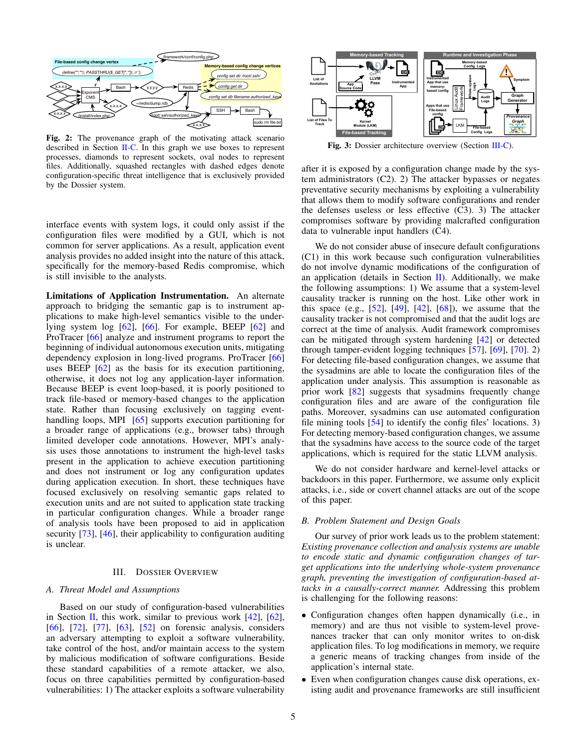<span id="page-4-0"></span>

Fig. 2: The provenance graph of the motivating attack scenario described in Section  $II-C$ . In this graph we use boxes to represent processes, diamonds to represent sockets, oval nodes to represent files. Additionally, squashed rectangles with dashed edges denote configuration-specific threat intelligence that is exclusively provided by the Dossier system.

<span id="page-4-1"></span>

Fig. 3: Dossier architecture overview (Section [III-C\)](#page-5-1).

after it is exposed by a configuration change made by the system administrators (C2). 2) The attacker bypasses or negates preventative security mechanisms by exploiting a vulnerability that allows them to modify software configurations and render the defenses useless or less effective (C3). 3) The attacker compromises software by providing malcrafted configuration data to vulnerable input handlers (C4).

interface events with system logs, it could only assist if the configuration files were modified by a GUI, which is not common for server applications. As a result, application event analysis provides no added insight into the nature of this attack, specifically for the memory-based Redis compromise, which is still invisible to the analysts.

Limitations of Application Instrumentation. An alternate approach to bridging the semantic gap is to instrument applications to make high-level semantics visible to the underlying system log  $[62]$ ,  $[66]$ . For example, BEEP  $[62]$  and ProTracer [\[66\]](#page-15-1) analyze and instrument programs to report the beginning of individual autonomous execution units, mitigating dependency explosion in long-lived programs. ProTracer [\[66\]](#page-15-1) uses BEEP [\[62\]](#page-15-0) as the basis for its execution partitioning, otherwise, it does not log any application-layer information. Because BEEP is event loop-based, it is poorly positioned to track file-based or memory-based changes to the application state. Rather than focusing exclusively on tagging event-handling loops, MPI [\[65\]](#page-15-10) supports execution partitioning for a broader range of applications (e.g., browser tabs) through limited developer code annotations. However, MPI's analysis uses those annotations to instrument the high-level tasks present in the application to achieve execution partitioning and does not instrument or log any configuration updates during application execution. In short, these techniques have focused exclusively on resolving semantic gaps related to execution units and are not suited to application state tracking in particular configuration changes. While a broader range of analysis tools have been proposed to aid in application security [\[73\]](#page-15-11), [\[46\]](#page-14-29), their applicability to configuration auditing is unclear.

# III. DOSSIER OVERVIEW

# *A. Threat Model and Assumptions*

Based on our study of configuration-based vulnerabilities in Section [II,](#page-1-0) this work, similar to previous work  $[42]$ ,  $[62]$ , [\[66\]](#page-15-1), [\[72\]](#page-15-2), [\[77\]](#page-15-3), [\[63\]](#page-15-4), [\[52\]](#page-14-10) on forensic analysis, considers an adversary attempting to exploit a software vulnerability, take control of the host, and/or maintain access to the system by malicious modification of software configurations. Beside these standard capabilities of a remote attacker, we also, focus on three capabilities permitted by configuration-based vulnerabilities: 1) The attacker exploits a software vulnerability

We do not consider abuse of insecure default configurations (C1) in this work because such configuration vulnerabilities do not involve dynamic modifications of the configuration of an application (details in Section [II\)](#page-1-0). Additionally, we make the following assumptions: 1) We assume that a system-level causality tracker is running on the host. Like other work in this space (e.g., [\[52\]](#page-14-10), [\[49\]](#page-14-30), [\[42\]](#page-14-9), [\[68\]](#page-15-12)), we assume that the causality tracker is not compromised and that the audit logs are correct at the time of analysis. Audit framework compromises can be mitigated through system hardening [\[42\]](#page-14-9) or detected through tamper-evident logging techniques [\[57\]](#page-14-31), [\[69\]](#page-15-13), [\[70\]](#page-15-14). 2) For detecting file-based configuration changes, we assume that the sysadmins are able to locate the configuration files of the application under analysis. This assumption is reasonable as prior work [\[82\]](#page-15-7) suggests that sysadmins frequently change configuration files and are aware of the configuration file paths. Moreover, sysadmins can use automated configuration file mining tools [\[54\]](#page-14-32) to identify the config files' locations. 3) For detecting memory-based configuration changes, we assume that the sysadmins have access to the source code of the target applications, which is required for the static LLVM analysis.

We do not consider hardware and kernel-level attacks or backdoors in this paper. Furthermore, we assume only explicit attacks, i.e., side or covert channel attacks are out of the scope of this paper.

#### *B. Problem Statement and Design Goals*

Our survey of prior work leads us to the problem statement: *Existing provenance collection and analysis systems are unable to encode static and dynamic configuration changes of target applications into the underlying whole-system provenance graph, preventing the investigation of configuration-based attacks in a causally-correct manner.* Addressing this problem is challenging for the following reasons:

- Configuration changes often happen dynamically (i.e., in memory) and are thus not visible to system-level provenances tracker that can only monitor writes to on-disk application files. To log modifications in memory, we require a generic means of tracking changes from inside of the application's internal state.
- Even when configuration changes cause disk operations, existing audit and provenance frameworks are still insufficient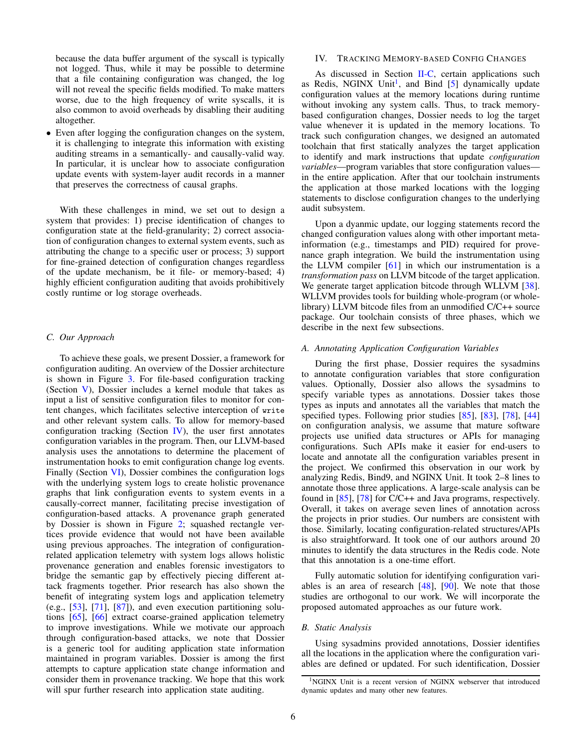because the data buffer argument of the syscall is typically not logged. Thus, while it may be possible to determine that a file containing configuration was changed, the log will not reveal the specific fields modified. To make matters worse, due to the high frequency of write syscalls, it is also common to avoid overheads by disabling their auditing altogether.

• Even after logging the configuration changes on the system, it is challenging to integrate this information with existing auditing streams in a semantically- and causally-valid way. In particular, it is unclear how to associate configuration update events with system-layer audit records in a manner that preserves the correctness of causal graphs.

With these challenges in mind, we set out to design a system that provides: 1) precise identification of changes to configuration state at the field-granularity; 2) correct association of configuration changes to external system events, such as attributing the change to a specific user or process; 3) support for fine-grained detection of configuration changes regardless of the update mechanism, be it file- or memory-based; 4) highly efficient configuration auditing that avoids prohibitively costly runtime or log storage overheads.

# <span id="page-5-1"></span>*C. Our Approach*

To achieve these goals, we present Dossier, a framework for configuration auditing. An overview of the Dossier architecture is shown in Figure [3.](#page-4-1) For file-based configuration tracking (Section [V\)](#page-7-0), Dossier includes a kernel module that takes as input a list of sensitive configuration files to monitor for content changes, which facilitates selective interception of write and other relevant system calls. To allow for memory-based configuration tracking (Section  $IV$ ), the user first annotates configuration variables in the program. Then, our LLVM-based analysis uses the annotations to determine the placement of instrumentation hooks to emit configuration change log events. Finally (Section [VI\)](#page-9-1), Dossier combines the configuration logs with the underlying system logs to create holistic provenance graphs that link configuration events to system events in a causally-correct manner, facilitating precise investigation of configuration-based attacks. A provenance graph generated by Dossier is shown in Figure [2;](#page-4-0) squashed rectangle vertices provide evidence that would not have been available using previous approaches. The integration of configurationrelated application telemetry with system logs allows holistic provenance generation and enables forensic investigators to bridge the semantic gap by effectively piecing different attack fragments together. Prior research has also shown the benefit of integrating system logs and application telemetry (e.g.,  $[53]$ ,  $[71]$ ,  $[87]$ ), and even execution partitioning solutions [\[65\]](#page-15-10), [\[66\]](#page-15-1) extract coarse-grained application telemetry to improve investigations. While we motivate our approach through configuration-based attacks, we note that Dossier is a generic tool for auditing application state information maintained in program variables. Dossier is among the first attempts to capture application state change information and consider them in provenance tracking. We hope that this work will spur further research into application state auditing.

# <span id="page-5-0"></span>IV. TRACKING MEMORY-BASED CONFIG CHANGES

As discussed in Section [II-C,](#page-3-0) certain applications such as Redis, NGINX Unit<sup>[1](#page-5-2)</sup>, and Bind [\[5\]](#page-14-33) dynamically update configuration values at the memory locations during runtime without invoking any system calls. Thus, to track memorybased configuration changes, Dossier needs to log the target value whenever it is updated in the memory locations. To track such configuration changes, we designed an automated toolchain that first statically analyzes the target application to identify and mark instructions that update *configuration variables*—program variables that store configuration values in the entire application. After that our toolchain instruments the application at those marked locations with the logging statements to disclose configuration changes to the underlying audit subsystem.

Upon a dyanmic update, our logging statements record the changed configuration values along with other important metainformation (e.g., timestamps and PID) required for provenance graph integration. We build the instrumentation using the LLVM compiler  $[61]$  in which our instrumentation is a *transformation pass* on LLVM bitcode of the target application. We generate target application bitcode through WLLVM [\[38\]](#page-14-34). WLLVM provides tools for building whole-program (or wholelibrary) LLVM bitcode files from an unmodified C/C++ source package. Our toolchain consists of three phases, which we describe in the next few subsections.

#### *A. Annotating Application Configuration Variables*

During the first phase, Dossier requires the sysadmins to annotate configuration variables that store configuration values. Optionally, Dossier also allows the sysadmins to specify variable types as annotations. Dossier takes those types as inputs and annotates all the variables that match the specified types. Following prior studies [\[85\]](#page-15-16), [\[83\]](#page-15-17), [\[78\]](#page-15-18), [\[44\]](#page-14-35) on configuration analysis, we assume that mature software projects use unified data structures or APIs for managing configurations. Such APIs make it easier for end-users to locate and annotate all the configuration variables present in the project. We confirmed this observation in our work by analyzing Redis, Bind9, and NGINX Unit. It took 2–8 lines to annotate those three applications. A large-scale analysis can be found in [\[85\]](#page-15-16), [\[78\]](#page-15-18) for C/C++ and Java programs, respectively. Overall, it takes on average seven lines of annotation across the projects in prior studies. Our numbers are consistent with those. Similarly, locating configuration-related structures/APIs is also straightforward. It took one of our authors around 20 minutes to identify the data structures in the Redis code. Note that this annotation is a one-time effort.

Fully automatic solution for identifying configuration variables is an area of research [\[48\]](#page-14-36), [\[90\]](#page-15-19). We note that those studies are orthogonal to our work. We will incorporate the proposed automated approaches as our future work.

#### *B. Static Analysis*

Using sysadmins provided annotations, Dossier identifies all the locations in the application where the configuration variables are defined or updated. For such identification, Dossier

<span id="page-5-2"></span><sup>&</sup>lt;sup>1</sup>NGINX Unit is a recent version of NGINX webserver that introduced dynamic updates and many other new features.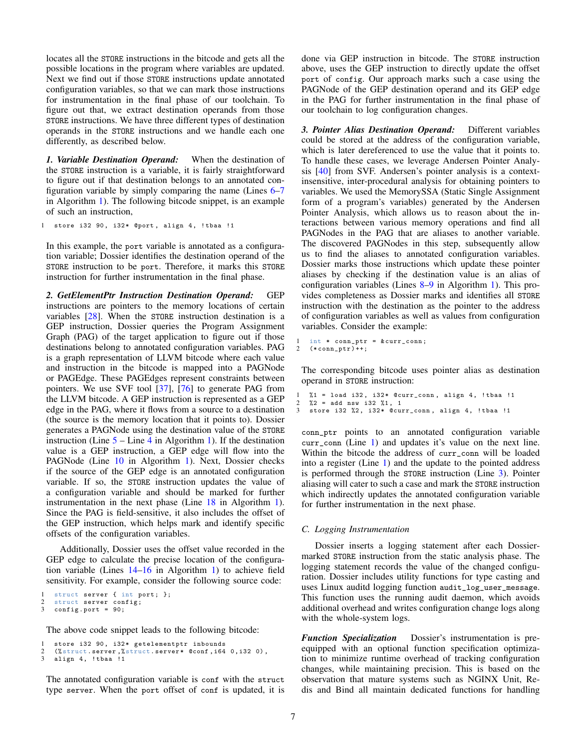locates all the STORE instructions in the bitcode and gets all the possible locations in the program where variables are updated. Next we find out if those STORE instructions update annotated configuration variables, so that we can mark those instructions for instrumentation in the final phase of our toolchain. To figure out that, we extract destination operands from those STORE instructions. We have three different types of destination operands in the STORE instructions and we handle each one differently, as described below.

*1. Variable Destination Operand:* When the destination of the STORE instruction is a variable, it is fairly straightforward to figure out if that destination belongs to an annotated configuration variable by simply comparing the name (Lines  $6-7$  $6-7$ in Algorithm [1\)](#page-7-3). The following bitcode snippet, is an example of such an instruction,

1 store i32 90, i32\* @port, align 4, !tbaa !1

In this example, the port variable is annotated as a configuration variable; Dossier identifies the destination operand of the STORE instruction to be port. Therefore, it marks this STORE instruction for further instrumentation in the final phase.

*2. GetElementPtr Instruction Destination Operand:* GEP instructions are pointers to the memory locations of certain variables [\[28\]](#page-14-37). When the STORE instruction destination is a GEP instruction, Dossier queries the Program Assignment Graph (PAG) of the target application to figure out if those destinations belong to annotated configuration variables. PAG is a graph representation of LLVM bitcode where each value and instruction in the bitcode is mapped into a PAGNode or PAGEdge. These PAGEdges represent constraints between pointers. We use SVF tool [\[37\]](#page-14-38), [\[76\]](#page-15-20) to generate PAG from the LLVM bitcode. A GEP instruction is represented as a GEP edge in the PAG, where it flows from a source to a destination (the source is the memory location that it points to). Dossier generates a PAGNode using the destination value of the STORE instruction (Line  $5 5 -$ Line [4](#page-7-5) in Algorithm [1\)](#page-7-3). If the destination value is a GEP instruction, a GEP edge will flow into the PAGNode (Line [10](#page-7-6) in Algorithm [1\)](#page-7-3). Next, Dossier checks if the source of the GEP edge is an annotated configuration variable. If so, the STORE instruction updates the value of a configuration variable and should be marked for further instrumentation in the next phase (Line [18](#page-7-7) in Algorithm [1\)](#page-7-3). Since the PAG is field-sensitive, it also includes the offset of the GEP instruction, which helps mark and identify specific offsets of the configuration variables.

Additionally, Dossier uses the offset value recorded in the GEP edge to calculate the precise location of the configuration variable (Lines [14](#page-7-8)[–16](#page-7-9) in Algorithm [1\)](#page-7-3) to achieve field sensitivity. For example, consider the following source code:

```
1 struct server { int port; };
2 struct server config;<br>3 config.port = 90:
```

```
config. port = 90;
```
The above code snippet leads to the following bitcode:

```
store i32 90, i32* getelementptr inbounds
 (X \text{struct. server}, X \text{struct. server} * \text{ Qconf, i64 } 0, i32 0),
align 4, !tbaa !1
```
The annotated configuration variable is conf with the struct type server. When the port offset of conf is updated, it is done via GEP instruction in bitcode. The STORE instruction above, uses the GEP instruction to directly update the offset port of config. Our approach marks such a case using the PAGNode of the GEP destination operand and its GEP edge in the PAG for further instrumentation in the final phase of our toolchain to log configuration changes.

*3. Pointer Alias Destination Operand:* Different variables could be stored at the address of the configuration variable, which is later dereferenced to use the value that it points to. To handle these cases, we leverage Andersen Pointer Analysis [\[40\]](#page-14-39) from SVF. Andersen's pointer analysis is a contextinsensitive, inter-procedural analysis for obtaining pointers to variables. We used the MemorySSA (Static Single Assignment form of a program's variables) generated by the Andersen Pointer Analysis, which allows us to reason about the interactions between various memory operations and find all PAGNodes in the PAG that are aliases to another variable. The discovered PAGNodes in this step, subsequently allow us to find the aliases to annotated configuration variables. Dossier marks those instructions which update these pointer aliases by checking if the destination value is an alias of configuration variables (Lines [8–](#page-7-10)[9](#page-7-11) in Algorithm [1\)](#page-7-3). This provides completeness as Dossier marks and identifies all STORE instruction with the destination as the pointer to the address of configuration variables as well as values from configuration variables. Consider the example:

<span id="page-6-0"></span> $1$  int  $*$  conn\_ptr =  $&$  curr\_conn; 2  $(*conn\_ptr)++;$ 

The corresponding bitcode uses pointer alias as destination operand in STORE instruction:

```
1 %1 = load i32, i32* @curr_conn, align 4, !tbaa !1<br>2 %2 = add nsw i32 %1, 1
\frac{2}{3} \frac{2}{3} = add nsw i32 \frac{2}{3}, 1<br>3 store i32 \frac{2}{3}, i32* @cun
     store i32 %2, i32* @curr_conn, align 4, !tbaa !1
```
conn\_ptr points to an annotated configuration variable curr\_conn (Line [1\)](#page-6-0) and updates it's value on the next line. Within the bitcode the address of curr\_conn will be loaded into a register (Line [1\)](#page-6-1) and the update to the pointed address is performed through the STORE instruction (Line [3\)](#page-6-2). Pointer aliasing will cater to such a case and mark the STORE instruction which indirectly updates the annotated configuration variable for further instrumentation in the next phase.

# *C. Logging Instrumentation*

Dossier inserts a logging statement after each Dossiermarked STORE instruction from the static analysis phase. The logging statement records the value of the changed configuration. Dossier includes utility functions for type casting and uses Linux auditd logging function audit\_log\_user\_message. This function uses the running audit daemon, which avoids additional overhead and writes configuration change logs along with the whole-system logs.

*Function Specialization* Dossier's instrumentation is preequipped with an optional function specification optimization to minimize runtime overhead of tracking configuration changes, while maintaining precision. This is based on the observation that mature systems such as NGINX Unit, Redis and Bind all maintain dedicated functions for handling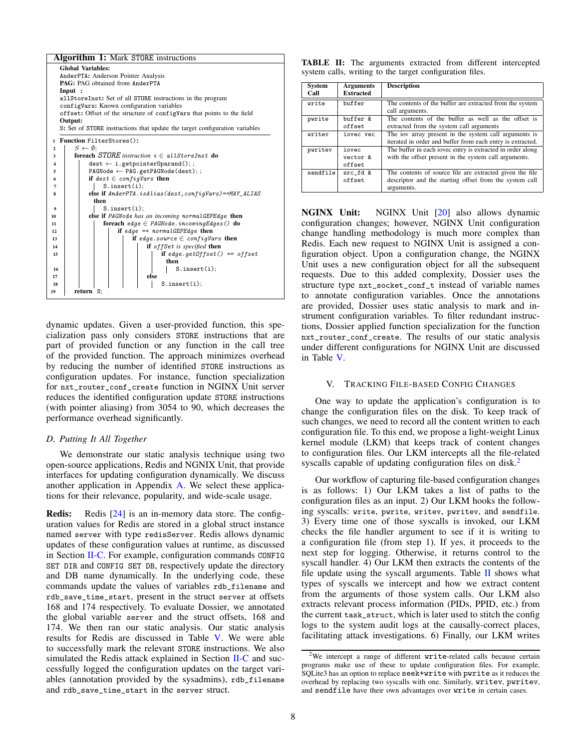<span id="page-7-5"></span><span id="page-7-4"></span><span id="page-7-2"></span><span id="page-7-1"></span>

<span id="page-7-11"></span><span id="page-7-10"></span><span id="page-7-8"></span><span id="page-7-7"></span><span id="page-7-6"></span><span id="page-7-3"></span>dynamic updates. Given a user-provided function, this specialization pass only considers STORE instructions that are part of provided function or any function in the call tree of the provided function. The approach minimizes overhead by reducing the number of identified STORE instructions as configuration updates. For instance, function specialization for nxt\_router\_conf\_create function in NGINX Unit server reduces the identified configuration update STORE instructions (with pointer aliasing) from 3054 to 90, which decreases the performance overhead significantly.

#### *D. Putting It All Together*

We demonstrate our static analysis technique using two open-source applications, Redis and NGNIX Unit, that provide interfaces for updating configuration dynamically. We discuss another application in Appendix [A.](#page-15-21) We select these applications for their relevance, popularity, and wide-scale usage.

Redis: Redis [\[24\]](#page-14-40) is an in-memory data store. The configuration values for Redis are stored in a global struct instance named server with type redisServer. Redis allows dynamic updates of these configuration values at runtime, as discussed in Section [II-C.](#page-3-0) For example, configuration commands CONFIG SET DIR and CONFIG SET DB, respectively update the directory and DB name dynamically. In the underlying code, these commands update the values of variables rdb\_filename and rdb\_save\_time\_start, present in the struct server at offsets 168 and 174 respectively. To evaluate Dossier, we annotated the global variable server and the struct offsets, 168 and 174. We then ran our static analysis. Our static analysis results for Redis are discussed in Table [V.](#page-12-0) We were able to successfully mark the relevant STORE instructions. We also simulated the Redis attack explained in Section [II-C](#page-3-0) and successfully logged the configuration updates on the target variables (annotation provided by the sysadmins), rdb\_filename and rdb\_save\_time\_start in the server struct.

<span id="page-7-13"></span>

|  |                                                          |  |  | <b>TABLE II:</b> The arguments extracted from different intercepted |
|--|----------------------------------------------------------|--|--|---------------------------------------------------------------------|
|  | system calls, writing to the target configuration files. |  |  |                                                                     |

| System<br>Call | <b>Arguments</b><br><b>Extracted</b> | <b>Description</b>                                                                                                                |
|----------------|--------------------------------------|-----------------------------------------------------------------------------------------------------------------------------------|
| write          | buffer                               | The contents of the buffer are extracted from the system<br>call arguments.                                                       |
| pwrite         | buffer &<br>offset                   | The contents of the buffer as well as the offset is<br>extracted from the system call arguments                                   |
| writev         | iovec vec                            | The jov array present in the system call arguments is<br>iterated in order and buffer from each entry is extracted.               |
| pwritev        | iovec<br>$vector$ &<br>offset        | The buffer in each jovec entry is extracted in order along<br>with the offset present in the system call arguments.               |
| sendfile       | src fd &<br>offset                   | The contents of source file are extracted given the file<br>descriptor and the starting offset from the system call<br>arguments. |

<span id="page-7-9"></span>NGINX Unit: NGINX Unit [\[20\]](#page-14-41) also allows dynamic configuration changes; however, NGINX Unit configuration change handling methodology is much more complex than Redis. Each new request to NGINX Unit is assigned a configuration object. Upon a configuration change, the NGINX Unit uses a new configuration object for all the subsequent requests. Due to this added complexity, Dossier uses the structure type nxt\_socket\_conf\_t instead of variable names to annotate configuration variables. Once the annotations are provided, Dossier uses static analysis to mark and instrument configuration variables. To filter redundant instructions, Dossier applied function specialization for the function nxt\_router\_conf\_create. The results of our static analysis under different configurations for NGINX Unit are discussed in Table [V.](#page-12-0)

# <span id="page-7-0"></span>V. TRACKING FILE-BASED CONFIG CHANGES

One way to update the application's configuration is to change the configuration files on the disk. To keep track of such changes, we need to record all the content written to each configuration file. To this end, we propose a light-weight Linux kernel module (LKM) that keeps track of content changes to configuration files. Our LKM intercepts all the file-related syscalls capable of updating configuration files on disk.<sup>[2](#page-7-12)</sup>

Our workflow of capturing file-based configuration changes is as follows: 1) Our LKM takes a list of paths to the configuration files as an input. 2) Our LKM hooks the following syscalls: write, pwrite, writev, pwritev, and sendfile. 3) Every time one of those syscalls is invoked, our LKM checks the file handler argument to see if it is writing to a configuration file (from step 1). If yes, it proceeds to the next step for logging. Otherwise, it returns control to the syscall handler. 4) Our LKM then extracts the contents of the file update using the syscall arguments. Table  $II$  shows what types of syscalls we intercept and how we extract content from the arguments of those system calls. Our LKM also extracts relevant process information (PIDs, PPID, etc.) from the current task\_struct, which is later used to stitch the config logs to the system audit logs at the causally-correct places, facilitating attack investigations. 6) Finally, our LKM writes

<span id="page-7-12"></span><sup>&</sup>lt;sup>2</sup>We intercept a range of different write-related calls because certain programs make use of these to update configuration files. For example, SQLite3 has an option to replace seek+write with pwrite as it reduces the overhead by replacing two syscalls with one. Similarly, writev, pwritev, and sendfile have their own advantages over write in certain cases.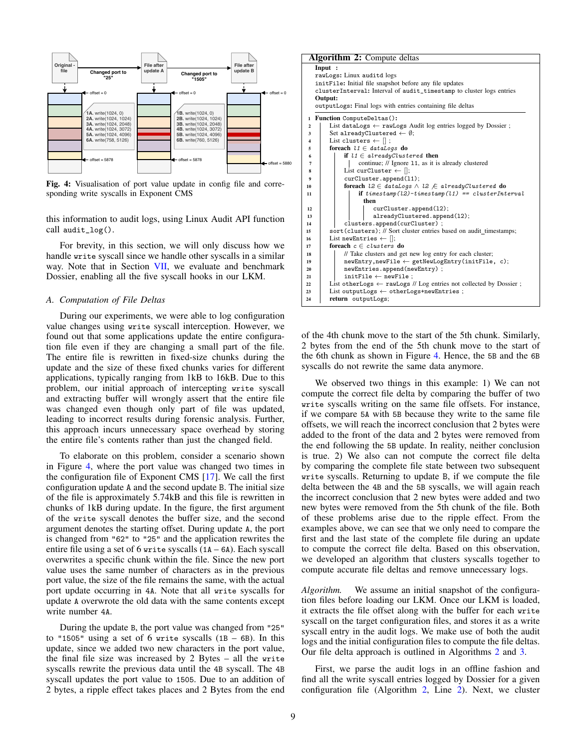<span id="page-8-0"></span>

Fig. 4: Visualisation of port value update in config file and corresponding write syscalls in Exponent CMS

this information to audit logs, using Linux Audit API function call audit\_log().

For brevity, in this section, we will only discuss how we handle write syscall since we handle other syscalls in a similar way. Note that in Section [VII,](#page-9-0) we evaluate and benchmark Dossier, enabling all the five syscall hooks in our LKM.

# *A. Computation of File Deltas*

During our experiments, we were able to log configuration value changes using write syscall interception. However, we found out that some applications update the entire configuration file even if they are changing a small part of the file. The entire file is rewritten in fixed-size chunks during the update and the size of these fixed chunks varies for different applications, typically ranging from 1kB to 16kB. Due to this problem, our initial approach of intercepting write syscall and extracting buffer will wrongly assert that the entire file was changed even though only part of file was updated, leading to incorrect results during forensic analysis. Further, this approach incurs unnecessary space overhead by storing the entire file's contents rather than just the changed field.

To elaborate on this problem, consider a scenario shown in Figure [4,](#page-8-0) where the port value was changed two times in the configuration file of Exponent CMS [\[17\]](#page-14-26). We call the first configuration update A and the second update B. The initial size of the file is approximately 5.74kB and this file is rewritten in chunks of 1kB during update. In the figure, the first argument of the write syscall denotes the buffer size, and the second argument denotes the starting offset. During update A, the port is changed from "62" to "25" and the application rewrites the entire file using a set of 6 write syscalls (1A – 6A). Each syscall overwrites a specific chunk within the file. Since the new port value uses the same number of characters as in the previous port value, the size of the file remains the same, with the actual port update occurring in 4A. Note that all write syscalls for update A overwrote the old data with the same contents except write number 4A.

During the update B, the port value was changed from "25" to "1505" using a set of 6 write syscalls  $(1B - 6B)$ . In this update, since we added two new characters in the port value, the final file size was increased by 2 Bytes – all the write syscalls rewrite the previous data until the 4B syscall. The 4B syscall updates the port value to 1505. Due to an addition of 2 bytes, a ripple effect takes places and 2 Bytes from the end

<span id="page-8-3"></span><span id="page-8-2"></span>

| Input :<br>rawLogs: Linux auditd logs<br>initFile: Initial file snapshot before any file updates<br>clusterInterval: Interval of audit_timestamp to cluster logs entries<br>Output:<br>outputLogs: Final logs with entries containing file deltas<br>Function ComputeDeltas():<br>1<br>List dataLogs $\leftarrow$ rawLogs Audit log entries logged by Dossier;<br>$\mathbf{2}$<br>Set alreadyClustered $\leftarrow \emptyset$ ;<br>3<br>List clusters $\leftarrow$ $\parallel$ ;<br>$\overline{\mathbf{4}}$<br>foreach $l1 \in dataLog$ do<br>5<br>if $11 \in alreadyClustered$ then<br>6<br>continue; // Ignore 11, as it is already clustered<br>7<br>List curCluster $\leftarrow$ [];<br>8<br>curCluster.append(11);<br>9<br>foreach $l2 \in dataLogs \wedge l2 \not\in alreadyClustered$ do<br>10<br>if $t$ imestamp(l2)- $t$ imestamp(l1) == clusterInterval<br>11<br>then<br>curCluster.append(12);<br>12<br>alreadyClustered.append(12);<br>13<br>clusters.append(curCluster);<br>14<br>sort (clusters); // Sort cluster entries based on audit_timestamps;<br>15<br>List new Entries $\leftarrow$ [];<br>16 |    | <b>Algorithm 2:</b> Compute deltas |  |  |  |  |  |  |  |
|---------------------------------------------------------------------------------------------------------------------------------------------------------------------------------------------------------------------------------------------------------------------------------------------------------------------------------------------------------------------------------------------------------------------------------------------------------------------------------------------------------------------------------------------------------------------------------------------------------------------------------------------------------------------------------------------------------------------------------------------------------------------------------------------------------------------------------------------------------------------------------------------------------------------------------------------------------------------------------------------------------------------------------------------------------------------------------------------------------------------|----|------------------------------------|--|--|--|--|--|--|--|
|                                                                                                                                                                                                                                                                                                                                                                                                                                                                                                                                                                                                                                                                                                                                                                                                                                                                                                                                                                                                                                                                                                                     |    |                                    |  |  |  |  |  |  |  |
|                                                                                                                                                                                                                                                                                                                                                                                                                                                                                                                                                                                                                                                                                                                                                                                                                                                                                                                                                                                                                                                                                                                     |    |                                    |  |  |  |  |  |  |  |
|                                                                                                                                                                                                                                                                                                                                                                                                                                                                                                                                                                                                                                                                                                                                                                                                                                                                                                                                                                                                                                                                                                                     |    |                                    |  |  |  |  |  |  |  |
|                                                                                                                                                                                                                                                                                                                                                                                                                                                                                                                                                                                                                                                                                                                                                                                                                                                                                                                                                                                                                                                                                                                     |    |                                    |  |  |  |  |  |  |  |
|                                                                                                                                                                                                                                                                                                                                                                                                                                                                                                                                                                                                                                                                                                                                                                                                                                                                                                                                                                                                                                                                                                                     |    |                                    |  |  |  |  |  |  |  |
|                                                                                                                                                                                                                                                                                                                                                                                                                                                                                                                                                                                                                                                                                                                                                                                                                                                                                                                                                                                                                                                                                                                     |    |                                    |  |  |  |  |  |  |  |
|                                                                                                                                                                                                                                                                                                                                                                                                                                                                                                                                                                                                                                                                                                                                                                                                                                                                                                                                                                                                                                                                                                                     |    |                                    |  |  |  |  |  |  |  |
|                                                                                                                                                                                                                                                                                                                                                                                                                                                                                                                                                                                                                                                                                                                                                                                                                                                                                                                                                                                                                                                                                                                     |    |                                    |  |  |  |  |  |  |  |
|                                                                                                                                                                                                                                                                                                                                                                                                                                                                                                                                                                                                                                                                                                                                                                                                                                                                                                                                                                                                                                                                                                                     |    |                                    |  |  |  |  |  |  |  |
|                                                                                                                                                                                                                                                                                                                                                                                                                                                                                                                                                                                                                                                                                                                                                                                                                                                                                                                                                                                                                                                                                                                     |    |                                    |  |  |  |  |  |  |  |
|                                                                                                                                                                                                                                                                                                                                                                                                                                                                                                                                                                                                                                                                                                                                                                                                                                                                                                                                                                                                                                                                                                                     |    |                                    |  |  |  |  |  |  |  |
|                                                                                                                                                                                                                                                                                                                                                                                                                                                                                                                                                                                                                                                                                                                                                                                                                                                                                                                                                                                                                                                                                                                     |    |                                    |  |  |  |  |  |  |  |
|                                                                                                                                                                                                                                                                                                                                                                                                                                                                                                                                                                                                                                                                                                                                                                                                                                                                                                                                                                                                                                                                                                                     |    |                                    |  |  |  |  |  |  |  |
|                                                                                                                                                                                                                                                                                                                                                                                                                                                                                                                                                                                                                                                                                                                                                                                                                                                                                                                                                                                                                                                                                                                     |    |                                    |  |  |  |  |  |  |  |
|                                                                                                                                                                                                                                                                                                                                                                                                                                                                                                                                                                                                                                                                                                                                                                                                                                                                                                                                                                                                                                                                                                                     |    |                                    |  |  |  |  |  |  |  |
|                                                                                                                                                                                                                                                                                                                                                                                                                                                                                                                                                                                                                                                                                                                                                                                                                                                                                                                                                                                                                                                                                                                     |    |                                    |  |  |  |  |  |  |  |
|                                                                                                                                                                                                                                                                                                                                                                                                                                                                                                                                                                                                                                                                                                                                                                                                                                                                                                                                                                                                                                                                                                                     |    |                                    |  |  |  |  |  |  |  |
|                                                                                                                                                                                                                                                                                                                                                                                                                                                                                                                                                                                                                                                                                                                                                                                                                                                                                                                                                                                                                                                                                                                     |    |                                    |  |  |  |  |  |  |  |
|                                                                                                                                                                                                                                                                                                                                                                                                                                                                                                                                                                                                                                                                                                                                                                                                                                                                                                                                                                                                                                                                                                                     |    |                                    |  |  |  |  |  |  |  |
|                                                                                                                                                                                                                                                                                                                                                                                                                                                                                                                                                                                                                                                                                                                                                                                                                                                                                                                                                                                                                                                                                                                     |    |                                    |  |  |  |  |  |  |  |
|                                                                                                                                                                                                                                                                                                                                                                                                                                                                                                                                                                                                                                                                                                                                                                                                                                                                                                                                                                                                                                                                                                                     |    |                                    |  |  |  |  |  |  |  |
|                                                                                                                                                                                                                                                                                                                                                                                                                                                                                                                                                                                                                                                                                                                                                                                                                                                                                                                                                                                                                                                                                                                     |    |                                    |  |  |  |  |  |  |  |
|                                                                                                                                                                                                                                                                                                                                                                                                                                                                                                                                                                                                                                                                                                                                                                                                                                                                                                                                                                                                                                                                                                                     | 17 | foreach $c \in clusters$ do        |  |  |  |  |  |  |  |
| // Take clusters and get new log entry for each cluster;<br>18                                                                                                                                                                                                                                                                                                                                                                                                                                                                                                                                                                                                                                                                                                                                                                                                                                                                                                                                                                                                                                                      |    |                                    |  |  |  |  |  |  |  |
| $newEntry, newFile \leftarrow getNewLogEntry(initFile, c);$<br>19                                                                                                                                                                                                                                                                                                                                                                                                                                                                                                                                                                                                                                                                                                                                                                                                                                                                                                                                                                                                                                                   |    |                                    |  |  |  |  |  |  |  |
| newEntries.append(newEntry);<br>20                                                                                                                                                                                                                                                                                                                                                                                                                                                                                                                                                                                                                                                                                                                                                                                                                                                                                                                                                                                                                                                                                  |    |                                    |  |  |  |  |  |  |  |
| $initFile \leftarrow newFile$ :<br>21                                                                                                                                                                                                                                                                                                                                                                                                                                                                                                                                                                                                                                                                                                                                                                                                                                                                                                                                                                                                                                                                               |    |                                    |  |  |  |  |  |  |  |
| List otherLogs $\leftarrow$ rawLogs // Log entries not collected by Dossier;<br>22                                                                                                                                                                                                                                                                                                                                                                                                                                                                                                                                                                                                                                                                                                                                                                                                                                                                                                                                                                                                                                  |    |                                    |  |  |  |  |  |  |  |
| List outputLogs $\leftarrow$ otherLogs+newEntries;<br>23                                                                                                                                                                                                                                                                                                                                                                                                                                                                                                                                                                                                                                                                                                                                                                                                                                                                                                                                                                                                                                                            |    |                                    |  |  |  |  |  |  |  |
| return outputLogs;<br>24                                                                                                                                                                                                                                                                                                                                                                                                                                                                                                                                                                                                                                                                                                                                                                                                                                                                                                                                                                                                                                                                                            |    |                                    |  |  |  |  |  |  |  |

<span id="page-8-8"></span><span id="page-8-7"></span><span id="page-8-6"></span><span id="page-8-5"></span><span id="page-8-4"></span><span id="page-8-1"></span>of the 4th chunk move to the start of the 5th chunk. Similarly, 2 bytes from the end of the 5th chunk move to the start of the 6th chunk as shown in Figure [4.](#page-8-0) Hence, the 5B and the 6B syscalls do not rewrite the same data anymore.

We observed two things in this example: 1) We can not compute the correct file delta by comparing the buffer of two write syscalls writing on the same file offsets. For instance, if we compare 5A with 5B because they write to the same file offsets, we will reach the incorrect conclusion that 2 bytes were added to the front of the data and 2 bytes were removed from the end following the 5B update. In reality, neither conclusion is true. 2) We also can not compute the correct file delta by comparing the complete file state between two subsequent write syscalls. Returning to update B, if we compute the file delta between the 4B and the 5B syscalls, we will again reach the incorrect conclusion that 2 new bytes were added and two new bytes were removed from the 5th chunk of the file. Both of these problems arise due to the ripple effect. From the examples above, we can see that we only need to compare the first and the last state of the complete file during an update to compute the correct file delta. Based on this observation, we developed an algorithm that clusters syscalls together to compute accurate file deltas and remove unnecessary logs.

*Algorithm.* We assume an initial snapshot of the configuration files before loading our LKM. Once our LKM is loaded, it extracts the file offset along with the buffer for each write syscall on the target configuration files, and stores it as a write syscall entry in the audit logs. We make use of both the audit logs and the initial configuration files to compute the file deltas. Our file delta approach is outlined in Algorithms [2](#page-8-1) and [3.](#page-9-2)

First, we parse the audit logs in an offline fashion and find all the write syscall entries logged by Dossier for a given configuration file (Algorithm [2,](#page-8-1) Line [2\)](#page-8-2). Next, we cluster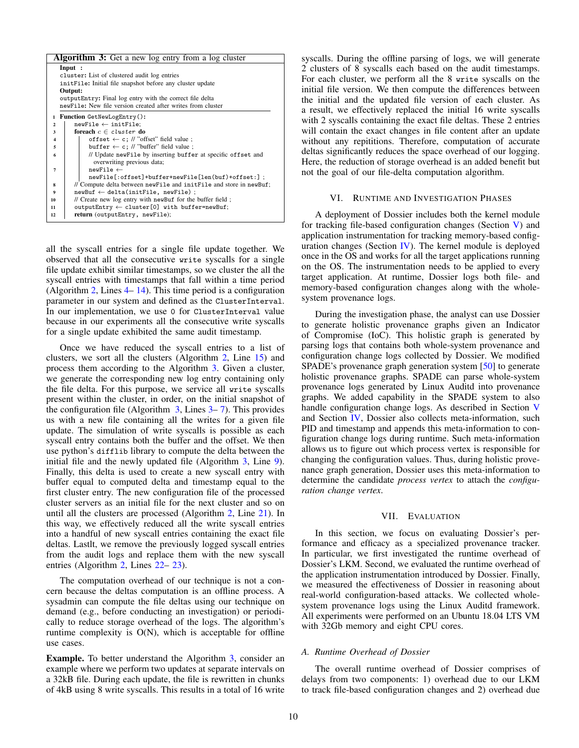<span id="page-9-3"></span>

| <b>Algorithm 3:</b> Get a new log entry from a log cluster                  |  |
|-----------------------------------------------------------------------------|--|
| Input :                                                                     |  |
| cluster: List of clustered audit log entries                                |  |
| initFile: Initial file snapshot before any cluster update                   |  |
| Output:                                                                     |  |
| output Entry: Final log entry with the correct file delta                   |  |
| newFile: New file version created after writes from cluster                 |  |
| Function GetNewLogEntry():<br>1                                             |  |
| $newFile \leftarrow initFile;$<br>$\mathbf{2}$                              |  |
| foreach $c \in cluster$ do<br>3                                             |  |
| offset $\leftarrow$ c; // "offset" field value ;<br>$\overline{\mathbf{4}}$ |  |
| buffer $\leftarrow$ c; // "buffer" field value;<br>5                        |  |
| // Update newFile by inserting buffer at specific offset and<br>6           |  |
| overwriting previous data;                                                  |  |
| $newFile \leftarrow$<br>7                                                   |  |
| newFile[:offset]+buffer+newFile[len(buf)+offset:];                          |  |
| // Compute delta between new File and init File and store in new Buf;<br>8  |  |
| $newBuf \leftarrow delta(intFile, newFile)$ ;<br>9                          |  |
| // Create new log entry with newBuf for the buffer field;<br>10             |  |
| outputEntry $\leftarrow$ cluster [0] with buffer=newBuf;<br>11              |  |
| return (outputEntry, newFile);<br>12                                        |  |

<span id="page-9-5"></span><span id="page-9-4"></span><span id="page-9-2"></span>all the syscall entries for a single file update together. We observed that all the consecutive write syscalls for a single file update exhibit similar timestamps, so we cluster the all the syscall entries with timestamps that fall within a time period (Algorithm [2,](#page-8-1) Lines  $4-14$ ). This time period is a configuration parameter in our system and defined as the ClusterInterval. In our implementation, we use 0 for ClusterInterval value because in our experiments all the consecutive write syscalls for a single update exhibited the same audit timestamp.

Once we have reduced the syscall entries to a list of clusters, we sort all the clusters (Algorithm [2,](#page-8-1) Line [15\)](#page-8-5) and process them according to the Algorithm [3.](#page-9-2) Given a cluster, we generate the corresponding new log entry containing only the file delta. For this purpose, we service all write syscalls present within the cluster, in order, on the initial snapshot of the configuration file (Algorithm  $3$ , Lines  $3-7$ ). This provides us with a new file containing all the writes for a given file update. The simulation of write syscalls is possible as each syscall entry contains both the buffer and the offset. We then use python's difflib library to compute the delta between the initial file and the newly updated file (Algorithm [3,](#page-9-2) Line [9\)](#page-9-5). Finally, this delta is used to create a new syscall entry with buffer equal to computed delta and timestamp equal to the first cluster entry. The new configuration file of the processed cluster servers as an initial file for the next cluster and so on until all the clusters are processed (Algorithm [2,](#page-8-1) Line [21\)](#page-8-6). In this way, we effectively reduced all the write syscall entries into a handful of new syscall entries containing the exact file deltas. Lastlt, we remove the previously logged syscall entries from the audit logs and replace them with the new syscall entries (Algorithm [2,](#page-8-1) Lines [22–](#page-8-7) [23\)](#page-8-8).

The computation overhead of our technique is not a concern because the deltas computation is an offline process. A sysadmin can compute the file deltas using our technique on demand (e.g., before conducting an investigation) or periodically to reduce storage overhead of the logs. The algorithm's runtime complexity is  $O(N)$ , which is acceptable for offline use cases.

Example. To better understand the Algorithm [3,](#page-9-2) consider an example where we perform two updates at separate intervals on a 32kB file. During each update, the file is rewritten in chunks of 4kB using 8 write syscalls. This results in a total of 16 write syscalls. During the offline parsing of logs, we will generate 2 clusters of 8 syscalls each based on the audit timestamps. For each cluster, we perform all the 8 write syscalls on the initial file version. We then compute the differences between the initial and the updated file version of each cluster. As a result, we effectively replaced the initial 16 write syscalls with 2 syscalls containing the exact file deltas. These 2 entries will contain the exact changes in file content after an update without any repititions. Therefore, computation of accurate deltas significantly reduces the space overhead of our logging. Here, the reduction of storage overhead is an added benefit but not the goal of our file-delta computation algorithm.

# VI. RUNTIME AND INVESTIGATION PHASES

<span id="page-9-1"></span>A deployment of Dossier includes both the kernel module for tracking file-based configuration changes (Section [V\)](#page-7-0) and application instrumentation for tracking memory-based configuration changes (Section  $IV$ ). The kernel module is deployed once in the OS and works for all the target applications running on the OS. The instrumentation needs to be applied to every target application. At runtime, Dossier logs both file- and memory-based configuration changes along with the wholesystem provenance logs.

During the investigation phase, the analyst can use Dossier to generate holistic provenance graphs given an Indicator of Compromise (IoC). This holistic graph is generated by parsing logs that contains both whole-system provenance and configuration change logs collected by Dossier. We modified SPADE's provenance graph generation system [\[50\]](#page-14-14) to generate holistic provenance graphs. SPADE can parse whole-system provenance logs generated by Linux Auditd into provenance graphs. We added capability in the SPADE system to also handle configuration change logs. As described in Section [V](#page-7-0) and Section [IV,](#page-5-0) Dossier also collects meta-information, such PID and timestamp and appends this meta-information to configuration change logs during runtime. Such meta-information allows us to figure out which process vertex is responsible for changing the configuration values. Thus, during holistic provenance graph generation, Dossier uses this meta-information to determine the candidate *process vertex* to attach the *configuration change vertex*.

### VII. EVALUATION

<span id="page-9-0"></span>In this section, we focus on evaluating Dossier's performance and efficacy as a specialized provenance tracker. In particular, we first investigated the runtime overhead of Dossier's LKM. Second, we evaluated the runtime overhead of the application instrumentation introduced by Dossier. Finally, we measured the effectiveness of Dossier in reasoning about real-world configuration-based attacks. We collected wholesystem provenance logs using the Linux Auditd framework. All experiments were performed on an Ubuntu 18.04 LTS VM with 32Gb memory and eight CPU cores.

#### *A. Runtime Overhead of Dossier*

The overall runtime overhead of Dossier comprises of delays from two components: 1) overhead due to our LKM to track file-based configuration changes and 2) overhead due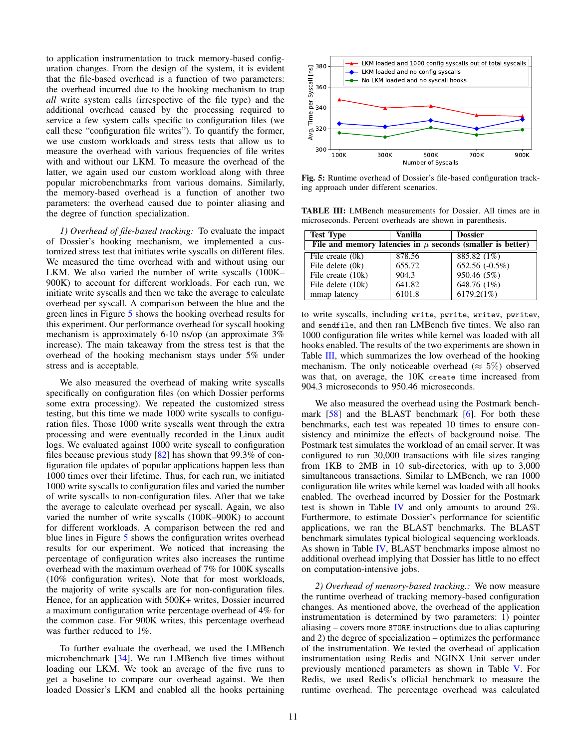to application instrumentation to track memory-based configuration changes. From the design of the system, it is evident that the file-based overhead is a function of two parameters: the overhead incurred due to the hooking mechanism to trap *all* write system calls (irrespective of the file type) and the additional overhead caused by the processing required to service a few system calls specific to configuration files (we call these "configuration file writes"). To quantify the former, we use custom workloads and stress tests that allow us to measure the overhead with various frequencies of file writes with and without our LKM. To measure the overhead of the latter, we again used our custom workload along with three popular microbenchmarks from various domains. Similarly, the memory-based overhead is a function of another two parameters: the overhead caused due to pointer aliasing and the degree of function specialization.

*1) Overhead of file-based tracking:* To evaluate the impact of Dossier's hooking mechanism, we implemented a customized stress test that initiates write syscalls on different files. We measured the time overhead with and without using our LKM. We also varied the number of write syscalls (100K– 900K) to account for different workloads. For each run, we initiate write syscalls and then we take the average to calculate overhead per syscall. A comparison between the blue and the green lines in Figure [5](#page-10-0) shows the hooking overhead results for this experiment. Our performance overhead for syscall hooking mechanism is approximately 6-10 ns/op (an approximate 3% increase). The main takeaway from the stress test is that the overhead of the hooking mechanism stays under 5% under stress and is acceptable.

We also measured the overhead of making write syscalls specifically on configuration files (on which Dossier performs some extra processing). We repeated the customized stress testing, but this time we made 1000 write syscalls to configuration files. Those 1000 write syscalls went through the extra processing and were eventually recorded in the Linux audit logs. We evaluated against 1000 write syscall to configuration files because previous study  $[82]$  has shown that 99.3% of configuration file updates of popular applications happen less than 1000 times over their lifetime. Thus, for each run, we initiated 1000 write syscalls to configuration files and varied the number of write syscalls to non-configuration files. After that we take the average to calculate overhead per syscall. Again, we also varied the number of write syscalls (100K–900K) to account for different workloads. A comparison between the red and blue lines in Figure [5](#page-10-0) shows the configuration writes overhead results for our experiment. We noticed that increasing the percentage of configuration writes also increases the runtime overhead with the maximum overhead of 7% for 100K syscalls (10% configuration writes). Note that for most workloads, the majority of write syscalls are for non-configuration files. Hence, for an application with 500K+ writes, Dossier incurred a maximum configuration write percentage overhead of 4% for the common case. For 900K writes, this percentage overhead was further reduced to 1%.

To further evaluate the overhead, we used the LMBench microbenchmark [\[34\]](#page-14-42). We ran LMBench five times without loading our LKM. We took an average of the five runs to get a baseline to compare our overhead against. We then loaded Dossier's LKM and enabled all the hooks pertaining

<span id="page-10-0"></span>

Fig. 5: Runtime overhead of Dossier's file-based configuration tracking approach under different scenarios.

<span id="page-10-1"></span>TABLE III: LMBench measurements for Dossier. All times are in microseconds. Percent overheads are shown in parenthesis.

| <b>Test Type</b>                                               | Vanilla | <b>Dossier</b> |  |  |  |  |
|----------------------------------------------------------------|---------|----------------|--|--|--|--|
| File and memory latencies in $\mu$ seconds (smaller is better) |         |                |  |  |  |  |
| File create $(0k)$                                             | 878.56  | 885.82 (1%)    |  |  |  |  |
| File delete (0k)                                               | 655.72  | 652.56 (-0.5%) |  |  |  |  |
| File create (10k)                                              | 904.3   | 950.46 (5%)    |  |  |  |  |
| File delete (10k)                                              | 641.82  | 648.76 (1%)    |  |  |  |  |
| mmap latency                                                   | 6101.8  | 6179.2(1%)     |  |  |  |  |

to write syscalls, including write, pwrite, writev, pwritev, and sendfile, and then ran LMBench five times. We also ran 1000 configuration file writes while kernel was loaded with all hooks enabled. The results of the two experiments are shown in Table [III,](#page-10-1) which summarizes the low overhead of the hooking mechanism. The only noticeable overhead ( $\approx 5\%$ ) observed was that, on average, the 10K create time increased from 904.3 microseconds to 950.46 microseconds.

We also measured the overhead using the Postmark benchmark [\[58\]](#page-15-22) and the BLAST benchmark [\[6\]](#page-14-43). For both these benchmarks, each test was repeated 10 times to ensure consistency and minimize the effects of background noise. The Postmark test simulates the workload of an email server. It was configured to run 30,000 transactions with file sizes ranging from 1KB to 2MB in 10 sub-directories, with up to 3,000 simultaneous transactions. Similar to LMBench, we ran 1000 configuration file writes while kernel was loaded with all hooks enabled. The overhead incurred by Dossier for the Postmark test is shown in Table [IV](#page-11-1) and only amounts to around 2%. Furthermore, to estimate Dossier's performance for scientific applications, we ran the BLAST benchmarks. The BLAST benchmark simulates typical biological sequencing workloads. As shown in Table [IV,](#page-11-1) BLAST benchmarks impose almost no additional overhead implying that Dossier has little to no effect on computation-intensive jobs.

*2) Overhead of memory-based tracking.:* We now measure the runtime overhead of tracking memory-based configuration changes. As mentioned above, the overhead of the application instrumentation is determined by two parameters: 1) pointer aliasing – covers more STORE instructions due to alias capturing and 2) the degree of specialization – optimizes the performance of the instrumentation. We tested the overhead of application instrumentation using Redis and NGINX Unit server under previously mentioned parameters as shown in Table [V.](#page-12-0) For Redis, we used Redis's official benchmark to measure the runtime overhead. The percentage overhead was calculated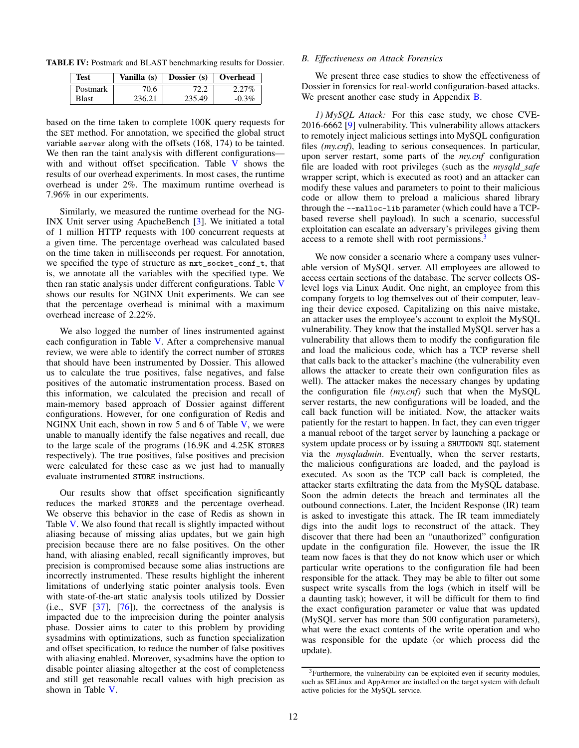<span id="page-11-1"></span>TABLE IV: Postmark and BLAST benchmarking results for Dossier.

| Test         | Vanilla (s) | Dossier (s) | Overhead |
|--------------|-------------|-------------|----------|
| Postmark     | 70.6        | 72.2        | 2.27%    |
| <b>Blast</b> | 236.21      | 235.49      | $-0.3%$  |

based on the time taken to complete 100K query requests for the SET method. For annotation, we specified the global struct variable server along with the offsets (168, 174) to be tainted. We then ran the taint analysis with different configurations— with and without offset specification. Table [V](#page-12-0) shows the results of our overhead experiments. In most cases, the runtime overhead is under 2%. The maximum runtime overhead is 7.96% in our experiments.

Similarly, we measured the runtime overhead for the NG-INX Unit server using ApacheBench [\[3\]](#page-14-44). We initiated a total of 1 million HTTP requests with 100 concurrent requests at a given time. The percentage overhead was calculated based on the time taken in milliseconds per request. For annotation, we specified the type of structure as nxt\_socket\_conf\_t, that is, we annotate all the variables with the specified type. We then ran static analysis under different configurations. Table [V](#page-12-0) shows our results for NGINX Unit experiments. We can see that the percentage overhead is minimal with a maximum overhead increase of 2.22%.

We also logged the number of lines instrumented against each configuration in Table [V.](#page-12-0) After a comprehensive manual review, we were able to identify the correct number of STORES that should have been instrumented by Dossier. This allowed us to calculate the true positives, false negatives, and false positives of the automatic instrumentation process. Based on this information, we calculated the precision and recall of main-memory based approach of Dossier against different configurations. However, for one configuration of Redis and NGINX Unit each, shown in row 5 and 6 of Table [V,](#page-12-0) we were unable to manually identify the false negatives and recall, due to the large scale of the programs (16.9K and 4.25K STORES respectively). The true positives, false positives and precision were calculated for these case as we just had to manually evaluate instrumented STORE instructions.

Our results show that offset specification significantly reduces the marked STORES and the percentage overhead. We observe this behavior in the case of Redis as shown in Table [V.](#page-12-0) We also found that recall is slightly impacted without aliasing because of missing alias updates, but we gain high precision because there are no false positives. On the other hand, with aliasing enabled, recall significantly improves, but precision is compromised because some alias instructions are incorrectly instrumented. These results highlight the inherent limitations of underlying static pointer analysis tools. Even with state-of-the-art static analysis tools utilized by Dossier (i.e., SVF [\[37\]](#page-14-38), [\[76\]](#page-15-20)), the correctness of the analysis is impacted due to the imprecision during the pointer analysis phase. Dossier aims to cater to this problem by providing sysadmins with optimizations, such as function specialization and offset specification, to reduce the number of false positives with aliasing enabled. Moreover, sysadmins have the option to disable pointer aliasing altogether at the cost of completeness and still get reasonable recall values with high precision as shown in Table [V.](#page-12-0)

# *B. Effectiveness on Attack Forensics*

We present three case studies to show the effectiveness of Dossier in forensics for real-world configuration-based attacks. We present another case study in Appendix [B.](#page-16-0)

<span id="page-11-0"></span>*1) MySQL Attack:* For this case study, we chose CVE-2016-6662 [\[9\]](#page-14-24) vulnerability. This vulnerability allows attackers to remotely inject malicious settings into MySQL configuration files *(my.cnf)*, leading to serious consequences. In particular, upon server restart, some parts of the *my.cnf* configuration file are loaded with root privileges (such as the *mysqld safe* wrapper script, which is executed as root) and an attacker can modify these values and parameters to point to their malicious code or allow them to preload a malicious shared library through the --malloc-lib parameter (which could have a TCPbased reverse shell payload). In such a scenario, successful exploitation can escalate an adversary's privileges giving them access to a remote shell with root permissions.<sup>[3](#page-11-2)</sup>

We now consider a scenario where a company uses vulnerable version of MySQL server. All employees are allowed to access certain sections of the database. The server collects OSlevel logs via Linux Audit. One night, an employee from this company forgets to log themselves out of their computer, leaving their device exposed. Capitalizing on this naive mistake, an attacker uses the employee's account to exploit the MySQL vulnerability. They know that the installed MySQL server has a vulnerability that allows them to modify the configuration file and load the malicious code, which has a TCP reverse shell that calls back to the attacker's machine (the vulnerability even allows the attacker to create their own configuration files as well). The attacker makes the necessary changes by updating the configuration file *(my.cnf)* such that when the MySQL server restarts, the new configurations will be loaded, and the call back function will be initiated. Now, the attacker waits patiently for the restart to happen. In fact, they can even trigger a manual reboot of the target server by launching a package or system update process or by issuing a SHUTDOWN SQL statement via the *mysqladmin*. Eventually, when the server restarts, the malicious configurations are loaded, and the payload is executed. As soon as the TCP call back is completed, the attacker starts exfiltrating the data from the MySQL database. Soon the admin detects the breach and terminates all the outbound connections. Later, the Incident Response (IR) team is asked to investigate this attack. The IR team immediately digs into the audit logs to reconstruct of the attack. They discover that there had been an "unauthorized" configuration update in the configuration file. However, the issue the IR team now faces is that they do not know which user or which particular write operations to the configuration file had been responsible for the attack. They may be able to filter out some suspect write syscalls from the logs (which in itself will be a daunting task); however, it will be difficult for them to find the exact configuration parameter or value that was updated (MySQL server has more than 500 configuration parameters), what were the exact contents of the write operation and who was responsible for the update (or which process did the update).

<span id="page-11-2"></span><sup>&</sup>lt;sup>3</sup>Furthermore, the vulnerability can be exploited even if security modules, such as SELinux and AppArmor are installed on the target system with default active policies for the MySQL service.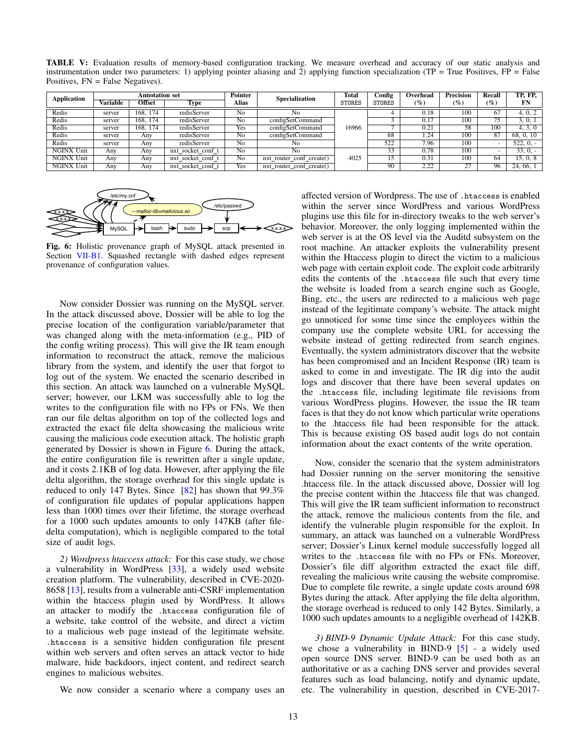<span id="page-12-0"></span>TABLE V: Evaluation results of memory-based configuration tracking. We measure overhead and accuracy of our static analysis and instrumentation under two parameters: 1) applying pointer aliasing and 2) applying function specialization (TP = True Positives, FP = False Positives, FN = False Negatives).

| <b>Application</b> | <b>Annotation set</b> |               |                   | <b>Pointer</b> | Specialization           | Total         | Config | Overhead        | Precision        | Recall                                 | TP. FP.     |
|--------------------|-----------------------|---------------|-------------------|----------------|--------------------------|---------------|--------|-----------------|------------------|----------------------------------------|-------------|
|                    | Variable              | <b>Offset</b> | Type              | Alias          |                          | <b>STORES</b> | STORES | $\mathscr{G}_o$ | $(\%)$           | $\left( \mathscr{G}_{\pmb{c}} \right)$ | FN          |
| Redis              | server                | 168.<br>174   | redisServer       | No             | No.                      |               |        | 0.18            | 100              | 67                                     | 4, 0, 2     |
| Redis              | server                | 174<br>168.   | redisServer       | No             | configSetCommand         |               |        | 0.17            | 100              | 75                                     | 3, 0, 1     |
| Redis              | server                | 168. 174      | redisServer       | Yes            | configSetCommand         | 16966         |        | 0.21            | 58               | 100                                    | 4, 3, 0     |
| Redis              | server                | Any           | redisServer       | No             | configSetCommand         |               | 68     | .24             | $\overline{100}$ | 87                                     | 68, 0, 10   |
| Redis              | server                | Any           | redisServer       | No             | No                       |               | 522    | 7.96            | 100              | ۰                                      | $522, 0, -$ |
| <b>NGINX Unit</b>  | Any                   | Anv           | nxt socket conf t | No             | No                       |               | 33     | 0.78            | 100              | ۰                                      | $33, 0, -$  |
| <b>NGINX Unit</b>  | Any                   | Anv           | nxt socket conf t | No             | nxt_router_conf_create() | 4025          | 15     | 0.31            | 100              | 64                                     | 15, 0, 8    |
| <b>NGINX Unit</b>  | Anv                   | Any           | nxt_socket_conf_t | Yes            | nxt router conf create() |               | 90     | 2.22            | 27               | 96                                     | 24, 66, 1   |

<span id="page-12-1"></span>

Fig. 6: Holistic provenance graph of MySQL attack presented in Section [VII-B1.](#page-11-0) Squashed rectangle with dashed edges represent provenance of configuration values.

Now consider Dossier was running on the MySQL server. In the attack discussed above, Dossier will be able to log the precise location of the configuration variable/parameter that was changed along with the meta-information (e.g., PID of the config writing process). This will give the IR team enough information to reconstruct the attack, remove the malicious library from the system, and identify the user that forgot to log out of the system. We enacted the scenario described in this section. An attack was launched on a vulnerable MySQL server; however, our LKM was successfully able to log the writes to the configuration file with no FPs or FNs. We then ran our file deltas algorithm on top of the collected logs and extracted the exact file delta showcasing the malicious write causing the malicious code execution attack. The holistic graph generated by Dossier is shown in Figure [6.](#page-12-1) During the attack, the entire configuration file is rewritten after a single update, and it costs 2.1KB of log data. However, after applying the file delta algorithm, the storage overhead for this single update is reduced to only 147 Bytes. Since  $\left[82\right]$  has shown that 99.3% of configuration file updates of popular applications happen less than 1000 times over their lifetime, the storage overhead for a 1000 such updates amounts to only 147KB (after filedelta computation), which is negligible compared to the total size of audit logs.

*2) Wordpress htaccess attack:* For this case study, we chose a vulnerability in WordPress [\[33\]](#page-14-45), a widely used website creation platform. The vulnerability, described in CVE-2020- 8658 [\[13\]](#page-14-46), results from a vulnerable anti-CSRF implementation within the htaccess plugin used by WordPress. It allows an attacker to modify the .htaccess configuration file of a website, take control of the website, and direct a victim to a malicious web page instead of the legitimate website. .htaccess is a sensitive hidden configuration file present within web servers and often serves an attack vector to hide malware, hide backdoors, inject content, and redirect search engines to malicious websites.

We now consider a scenario where a company uses an

affected version of Wordpress. The use of .htaccess is enabled within the server since WordPress and various WordPress plugins use this file for in-directory tweaks to the web server's behavior. Moreover, the only logging implemented within the web server is at the OS level via the Auditd subsystem on the root machine. An attacker exploits the vulnerability present within the Htaccess plugin to direct the victim to a malicious web page with certain exploit code. The exploit code arbitrarily edits the contents of the .htaccess file such that every time the website is loaded from a search engine such as Google, Bing, etc., the users are redirected to a malicious web page instead of the legitimate company's website. The attack might go unnoticed for some time since the employees within the company use the complete website URL for accessing the website instead of getting redirected from search engines. Eventually, the system administrators discover that the website has been compromised and an Incident Response (IR) team is asked to come in and investigate. The IR dig into the audit logs and discover that there have been several updates on the .htaccess file, including legitimate file revisions from various WordPress plugins. However, the issue the IR team faces is that they do not know which particular write operations to the .htaccess file had been responsible for the attack. This is because existing OS based audit logs do not contain information about the exact contents of the write operation.

Now, consider the scenario that the system administrators had Dossier running on the server monitoring the sensitive .htaccess file. In the attack discussed above, Dossier will log the precise content within the .htaccess file that was changed. This will give the IR team sufficient information to reconstruct the attack, remove the malicious contents from the file, and identify the vulnerable plugin responsible for the exploit. In summary, an attack was launched on a vulnerable WordPress server; Dossier's Linux kernel module successfully logged all writes to the .htaccess file with no FPs or FNs. Moreover, Dossier's file diff algorithm extracted the exact file diff, revealing the malicious write causing the website compromise. Due to complete file rewrite, a single update costs around 698 Bytes during the attack. After applying the file delta algorithm, the storage overhead is reduced to only 142 Bytes. Similarly, a 1000 such updates amounts to a negligible overhead of 142KB.

*3) BIND-9 Dynamic Update Attack:* For this case study, we chose a vulnerability in BIND-9 [\[5\]](#page-14-33) - a widely used open source DNS server. BIND-9 can be used both as an authoritative or as a caching DNS server and provides several features such as load balancing, notify and dynamic update, etc. The vulnerability in question, described in CVE-2017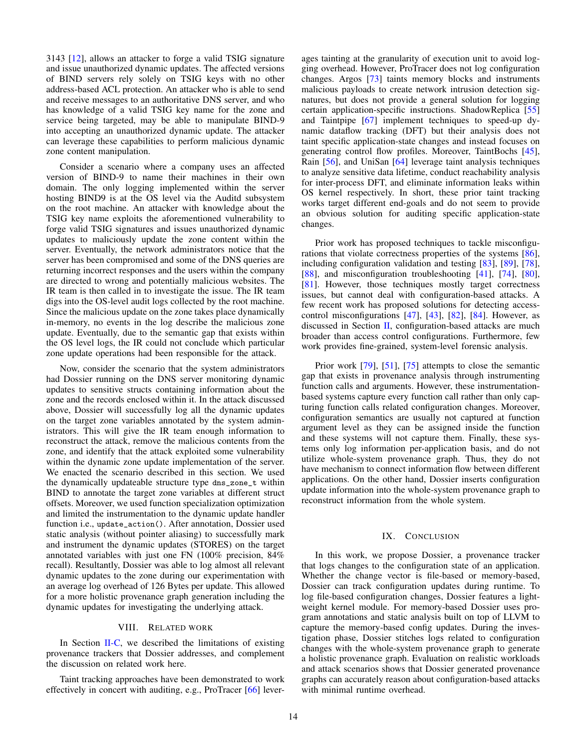3143 [\[12\]](#page-14-47), allows an attacker to forge a valid TSIG signature and issue unauthorized dynamic updates. The affected versions of BIND servers rely solely on TSIG keys with no other address-based ACL protection. An attacker who is able to send and receive messages to an authoritative DNS server, and who has knowledge of a valid TSIG key name for the zone and service being targeted, may be able to manipulate BIND-9 into accepting an unauthorized dynamic update. The attacker can leverage these capabilities to perform malicious dynamic zone content manipulation.

Consider a scenario where a company uses an affected version of BIND-9 to name their machines in their own domain. The only logging implemented within the server hosting BIND9 is at the OS level via the Auditd subsystem on the root machine. An attacker with knowledge about the TSIG key name exploits the aforementioned vulnerability to forge valid TSIG signatures and issues unauthorized dynamic updates to maliciously update the zone content within the server. Eventually, the network administrators notice that the server has been compromised and some of the DNS queries are returning incorrect responses and the users within the company are directed to wrong and potentially malicious websites. The IR team is then called in to investigate the issue. The IR team digs into the OS-level audit logs collected by the root machine. Since the malicious update on the zone takes place dynamically in-memory, no events in the log describe the malicious zone update. Eventually, due to the semantic gap that exists within the OS level logs, the IR could not conclude which particular zone update operations had been responsible for the attack.

Now, consider the scenario that the system administrators had Dossier running on the DNS server monitoring dynamic updates to sensitive structs containing information about the zone and the records enclosed within it. In the attack discussed above, Dossier will successfully log all the dynamic updates on the target zone variables annotated by the system administrators. This will give the IR team enough information to reconstruct the attack, remove the malicious contents from the zone, and identify that the attack exploited some vulnerability within the dynamic zone update implementation of the server. We enacted the scenario described in this section. We used the dynamically updateable structure type dns\_zone\_t within BIND to annotate the target zone variables at different struct offsets. Moreover, we used function specialization optimization and limited the instrumentation to the dynamic update handler function i.e., update\_action(). After annotation, Dossier used static analysis (without pointer aliasing) to successfully mark and instrument the dynamic updates (STORES) on the target annotated variables with just one FN (100% precision, 84% recall). Resultantly, Dossier was able to log almost all relevant dynamic updates to the zone during our experimentation with an average log overhead of 126 Bytes per update. This allowed for a more holistic provenance graph generation including the dynamic updates for investigating the underlying attack.

# VIII. RELATED WORK

In Section [II-C,](#page-3-0) we described the limitations of existing provenance trackers that Dossier addresses, and complement the discussion on related work here.

Taint tracking approaches have been demonstrated to work effectively in concert with auditing, e.g., ProTracer [\[66\]](#page-15-1) leverages tainting at the granularity of execution unit to avoid logging overhead. However, ProTracer does not log configuration changes. Argos [\[73\]](#page-15-11) taints memory blocks and instruments malicious payloads to create network intrusion detection signatures, but does not provide a general solution for logging certain application-specific instructions. ShadowReplica [\[55\]](#page-14-48) and Taintpipe [\[67\]](#page-15-23) implement techniques to speed-up dynamic dataflow tracking (DFT) but their analysis does not taint specific application-state changes and instead focuses on generating control flow profiles. Moreover, TaintBochs [\[45\]](#page-14-49), Rain [\[56\]](#page-14-50), and UniSan [\[64\]](#page-15-24) leverage taint analysis techniques to analyze sensitive data lifetime, conduct reachability analysis for inter-process DFT, and eliminate information leaks within OS kernel respectively. In short, these prior taint tracking works target different end-goals and do not seem to provide an obvious solution for auditing specific application-state changes.

Prior work has proposed techniques to tackle misconfigurations that violate correctness properties of the systems [\[86\]](#page-15-25), including configuration validation and testing [\[83\]](#page-15-17), [\[89\]](#page-15-26), [\[78\]](#page-15-18), [\[88\]](#page-15-27), and misconfiguration troubleshooting [\[41\]](#page-14-51), [\[74\]](#page-15-28), [\[80\]](#page-15-29), [\[81\]](#page-15-30). However, those techniques mostly target correctness issues, but cannot deal with configuration-based attacks. A few recent work has proposed solutions for detecting accesscontrol misconfigurations [\[47\]](#page-14-52), [\[43\]](#page-14-53), [\[82\]](#page-15-7), [\[84\]](#page-15-31). However, as discussed in Section [II,](#page-1-0) configuration-based attacks are much broader than access control configurations. Furthermore, few work provides fine-grained, system-level forensic analysis.

Prior work [\[79\]](#page-15-32), [\[51\]](#page-14-54), [\[75\]](#page-15-33) attempts to close the semantic gap that exists in provenance analysis through instrumenting function calls and arguments. However, these instrumentationbased systems capture every function call rather than only capturing function calls related configuration changes. Moreover, configuration semantics are usually not captured at function argument level as they can be assigned inside the function and these systems will not capture them. Finally, these systems only log information per-application basis, and do not utilize whole-system provenance graph. Thus, they do not have mechanism to connect information flow between different applications. On the other hand, Dossier inserts configuration update information into the whole-system provenance graph to reconstruct information from the whole system.

#### IX. CONCLUSION

In this work, we propose Dossier, a provenance tracker that logs changes to the configuration state of an application. Whether the change vector is file-based or memory-based, Dossier can track configuration updates during runtime. To log file-based configuration changes, Dossier features a lightweight kernel module. For memory-based Dossier uses program annotations and static analysis built on top of LLVM to capture the memory-based config updates. During the investigation phase, Dossier stitches logs related to configuration changes with the whole-system provenance graph to generate a holistic provenance graph. Evaluation on realistic workloads and attack scenarios shows that Dossier generated provenance graphs can accurately reason about configuration-based attacks with minimal runtime overhead.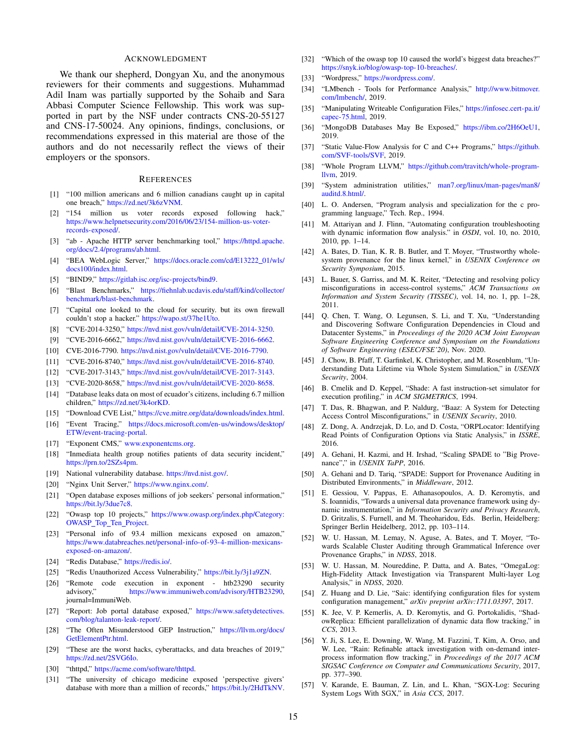#### ACKNOWLEDGMENT

We thank our shepherd, Dongyan Xu, and the anonymous reviewers for their comments and suggestions. Muhammad Adil Inam was partially supported by the Sohaib and Sara Abbasi Computer Science Fellowship. This work was supported in part by the NSF under contracts CNS-20-55127 and CNS-17-50024. Any opinions, findings, conclusions, or recommendations expressed in this material are those of the authors and do not necessarily reflect the views of their employers or the sponsors.

#### **REFERENCES**

- <span id="page-14-3"></span>[1] "100 million americans and 6 million canadians caught up in capital one breach," [https://zd.net/3k6zVNM.](https://zd.net/3k6zVNM)
- <span id="page-14-19"></span>[2] "154 million us voter records exposed following hack," [https://www.helpnetsecurity.com/2016/06/23/154-million-us-voter](https://www.helpnetsecurity.com/2016/06/23/154-million-us-voter-records-exposed/)[records-exposed/.](https://www.helpnetsecurity.com/2016/06/23/154-million-us-voter-records-exposed/)
- <span id="page-14-44"></span>[3] "ab - Apache HTTP server benchmarking tool," [https://httpd.apache.](https://httpd.apache.org/docs/2.4/programs/ab.html) [org/docs/2.4/programs/ab.html.](https://httpd.apache.org/docs/2.4/programs/ab.html)
- <span id="page-14-56"></span>[4] "BEA WebLogic Server," [https://docs.oracle.com/cd/E13222](https://docs.oracle.com/cd/E13222_01/wls/docs100/index.html)\_01/wls/ [docs100/index.html.](https://docs.oracle.com/cd/E13222_01/wls/docs100/index.html)
- <span id="page-14-33"></span>[5] "BIND9," [https://gitlab.isc.org/isc-projects/bind9.](https://gitlab.isc.org/isc-projects/bind9)
- <span id="page-14-43"></span>[6] "Blast Benchmarks," [https://fiehnlab.ucdavis.edu/staff/kind/collector/](https://fiehnlab.ucdavis.edu/staff/kind/collector/benchmark/blast-benchmark) [benchmark/blast-benchmark.](https://fiehnlab.ucdavis.edu/staff/kind/collector/benchmark/blast-benchmark)
- <span id="page-14-8"></span>[7] "Capital one looked to the cloud for security. but its own firewall couldn't stop a hacker." [https://wapo.st/37he1Uto.](https://wapo.st/37he1Uto)
- <span id="page-14-22"></span>[8] "CVE-2014-3250," [https://nvd.nist.gov/vuln/detail/CVE-2014-3250.](https://nvd.nist.gov/vuln/detail/CVE-2014-3250)
- <span id="page-14-24"></span>[9] "CVE-2016-6662," [https://nvd.nist.gov/vuln/detail/CVE-2016-6662.](https://nvd.nist.gov/vuln/detail/CVE-2016-6662)
- <span id="page-14-27"></span>[10] CVE-2016-7790. [https://nvd.nist.gov/vuln/detail/CVE-2016-7790.](https://nvd.nist.gov/vuln/detail/CVE-2016-7790)
- <span id="page-14-23"></span>[11] "CVE-2016-8740," [https://nvd.nist.gov/vuln/detail/CVE-2016-8740.](https://nvd.nist.gov/vuln/detail/CVE-2016-8740)
- <span id="page-14-47"></span>[12] "CVE-2017-3143," [https://nvd.nist.gov/vuln/detail/CVE-2017-3143.](https://nvd.nist.gov/vuln/detail/CVE-2017-3143)
- <span id="page-14-46"></span>[13] "CVE-2020-8658," [https://nvd.nist.gov/vuln/detail/CVE-2020-8658.](https://nvd.nist.gov/vuln/detail/CVE-2020-8658)
- <span id="page-14-16"></span>[14] "Database leaks data on most of ecuador's citizens, including 6.7 million children," [https://zd.net/3k4orKD.](https://zd.net/3k4orKD)
- <span id="page-14-20"></span>[15] "Download CVE List," [https://cve.mitre.org/data/downloads/index.html.](https://cve.mitre.org/data/downloads/index.html)
- <span id="page-14-12"></span>[16] "Event Tracing," [https://docs.microsoft.com/en-us/windows/desktop/](https://docs.microsoft.com/en-us/windows/desktop/ETW/event-tracing-portal) [ETW/event-tracing-portal.](https://docs.microsoft.com/en-us/windows/desktop/ETW/event-tracing-portal)
- <span id="page-14-26"></span>[17] "Exponent CMS," [www.exponentcms.org.](www.exponentcms.org)
- <span id="page-14-2"></span>[18] "Inmediata health group notifies patients of data security incident," [https://prn.to/2SZs4pm.](https://prn.to/2SZs4pm)
- <span id="page-14-21"></span>[19] National vulnerability database. [https://nvd.nist.gov/.](https://nvd.nist.gov/)
- <span id="page-14-41"></span>[20] "Nginx Unit Server," [https://www.nginx.com/.](https://www.nginx.com/)
- <span id="page-14-17"></span>[21] "Open database exposes millions of job seekers' personal information," [https://bit.ly/3due7c8.](https://bit.ly/3due7c8)
- <span id="page-14-0"></span>[22] "Owasp top 10 projects," [https://www.owasp.org/index.php/Category:](https://www.owasp.org/index.php/Category:OWASP_Top_Ten_Project) [OWASP](https://www.owasp.org/index.php/Category:OWASP_Top_Ten_Project)\_Top\_Ten\_Project.
- <span id="page-14-18"></span>[23] "Personal info of 93.4 million mexicans exposed on amazon," [https://www.databreaches.net/personal-info-of-93-4-million-mexicans](https://www.databreaches.net/personal-info-of-93-4-million-mexicans-exposed-on-amazon/)[exposed-on-amazon/.](https://www.databreaches.net/personal-info-of-93-4-million-mexicans-exposed-on-amazon/)
- <span id="page-14-40"></span>[24] "Redis Database," [https://redis.io/.](https://redis.io/)
- <span id="page-14-28"></span>[25] "Redis Unauthorized Access Vulnerability," [https://bit.ly/3j1a9ZN.](https://bit.ly/3j1a9ZN)
- <span id="page-14-25"></span>[26] "Remote code execution in exponent - htb23290 security [https://www.immuniweb.com/advisory/HTB23290,](https://www.immuniweb.com/advisory/HTB23290) journal=ImmuniWeb.
- <span id="page-14-5"></span>[27] "Report: Job portal database exposed," [https://www.safetydetectives.](https://www.safetydetectives.com/blog/talanton-leak-report/) [com/blog/talanton-leak-report/.](https://www.safetydetectives.com/blog/talanton-leak-report/)
- <span id="page-14-37"></span>[28] "The Often Misunderstood GEP Instruction," [https://llvm.org/docs/](https://llvm.org/docs/GetElementPtr.html) [GetElementPtr.html.](https://llvm.org/docs/GetElementPtr.html)
- <span id="page-14-15"></span>[29] "These are the worst hacks, cyberattacks, and data breaches of 2019," [https://zd.net/2SVG6Io.](https://zd.net/2SVG6Io)
- <span id="page-14-55"></span>[30] "thttpd," [https://acme.com/software/thttpd.](https://acme.com/software/thttpd)
- <span id="page-14-4"></span>[31] "The university of chicago medicine exposed 'perspective givers' database with more than a million of records," [https://bit.ly/2HdTkNV.](https://bit.ly/2HdTkNV)
- <span id="page-14-1"></span>[32] "Which of the owasp top 10 caused the world's biggest data breaches?" [https://snyk.io/blog/owasp-top-10-breaches/.](https://snyk.io/blog/owasp-top-10-breaches/)
- <span id="page-14-45"></span>[33] "Wordpress," [https://wordpress.com/.](https://wordpress.com/)
- <span id="page-14-42"></span>[34] "LMbench - Tools for Performance Analysis," [http://www.bitmover.](http://www.bitmover.com/lmbench/) [com/lmbench/,](http://www.bitmover.com/lmbench/) 2019.
- <span id="page-14-6"></span>[35] "Manipulating Writeable Configuration Files," [https://infosec.cert-pa.it/](https://infosec.cert-pa.it/capec-75.html) [capec-75.html,](https://infosec.cert-pa.it/capec-75.html) 2019.
- <span id="page-14-7"></span>[36] "MongoDB Databases May Be Exposed," [https://ibm.co/2H6OeU1,](https://ibm.co/2H6OeU1) 2019.
- <span id="page-14-38"></span>[37] "Static Value-Flow Analysis for C and C++ Programs," [https://github.](https://github.com/SVF-tools/SVF) [com/SVF-tools/SVF,](https://github.com/SVF-tools/SVF) 2019.
- <span id="page-14-34"></span>[38] "Whole Program LLVM," [https://github.com/travitch/whole-program](https://github.com/travitch/whole-program-llvm)[llvm,](https://github.com/travitch/whole-program-llvm) 2019.
- <span id="page-14-11"></span>[39] "System administration utilities," [man7.org/linux/man-pages/man8/](man7.org/linux/man-pages/man8/auditd.8.html/) [auditd.8.html/.](man7.org/linux/man-pages/man8/auditd.8.html/)
- <span id="page-14-39"></span>[40] L. O. Andersen, "Program analysis and specialization for the c programming language," Tech. Rep., 1994.
- <span id="page-14-51"></span>[41] M. Attariyan and J. Flinn, "Automating configuration troubleshooting with dynamic information flow analysis." in *OSDI*, vol. 10, no. 2010, 2010, pp. 1–14.
- <span id="page-14-9"></span>[42] A. Bates, D. Tian, K. R. B. Butler, and T. Moyer, "Trustworthy wholesystem provenance for the linux kernel," in *USENIX Conference on Security Symposium*, 2015.
- <span id="page-14-53"></span>[43] L. Bauer, S. Garriss, and M. K. Reiter, "Detecting and resolving policy misconfigurations in access-control systems," *ACM Transactions on Information and System Security (TISSEC)*, vol. 14, no. 1, pp. 1–28, 2011.
- <span id="page-14-35"></span>[44] Q. Chen, T. Wang, O. Legunsen, S. Li, and T. Xu, "Understanding and Discovering Software Configuration Dependencies in Cloud and Datacenter Systems," in *Proceedings of the 2020 ACM Joint European Software Engineering Conference and Symposium on the Foundations of Software Engineering (ESEC/FSE'20)*, Nov. 2020.
- <span id="page-14-49"></span>[45] J. Chow, B. Pfaff, T. Garfinkel, K. Christopher, and M. Rosenblum, "Understanding Data Lifetime via Whole System Simulation," in *USENIX Security*, 2004.
- <span id="page-14-29"></span>[46] B. Cmelik and D. Keppel, "Shade: A fast instruction-set simulator for execution profiling," in *ACM SIGMETRICS*, 1994.
- <span id="page-14-52"></span>[47] T. Das, R. Bhagwan, and P. Naldurg, "Baaz: A System for Detecting Access Control Misconfigurations," in *USENIX Security*, 2010.
- <span id="page-14-36"></span>[48] Z. Dong, A. Andrzejak, D. Lo, and D. Costa, "ORPLocator: Identifying Read Points of Configuration Options via Static Analysis," in *ISSRE*, 2016.
- <span id="page-14-30"></span>[49] A. Gehani, H. Kazmi, and H. Irshad, "Scaling SPADE to "Big Provenance"," in *USENIX TaPP*, 2016.
- <span id="page-14-14"></span>[50] A. Gehani and D. Tariq, "SPADE: Support for Provenance Auditing in Distributed Environments," in *Middleware*, 2012.
- <span id="page-14-54"></span>[51] E. Gessiou, V. Pappas, E. Athanasopoulos, A. D. Keromytis, and S. Ioannidis, "Towards a universal data provenance framework using dynamic instrumentation," in *Information Security and Privacy Research*, D. Gritzalis, S. Furnell, and M. Theoharidou, Eds. Berlin, Heidelberg: Springer Berlin Heidelberg, 2012, pp. 103–114.
- <span id="page-14-10"></span>[52] W. U. Hassan, M. Lemay, N. Aguse, A. Bates, and T. Moyer, "Towards Scalable Cluster Auditing through Grammatical Inference over Provenance Graphs," in *NDSS*, 2018.
- <span id="page-14-13"></span>[53] W. U. Hassan, M. Noureddine, P. Datta, and A. Bates, "OmegaLog: High-Fidelity Attack Investigation via Transparent Multi-layer Log Analysis," in *NDSS*, 2020.
- <span id="page-14-32"></span>[54] Z. Huang and D. Lie, "Saic: identifying configuration files for system configuration management," *arXiv preprint arXiv:1711.03397*, 2017.
- <span id="page-14-48"></span>[55] K. Jee, V. P. Kemerlis, A. D. Keromytis, and G. Portokalidis, "ShadowReplica: Efficient parallelization of dynamic data flow tracking," in *CCS*, 2013.
- <span id="page-14-50"></span>[56] Y. Ji, S. Lee, E. Downing, W. Wang, M. Fazzini, T. Kim, A. Orso, and W. Lee, "Rain: Refinable attack investigation with on-demand interprocess information flow tracking," in *Proceedings of the 2017 ACM SIGSAC Conference on Computer and Communications Security*, 2017, pp. 377–390.
- <span id="page-14-31"></span>[57] V. Karande, E. Bauman, Z. Lin, and L. Khan, "SGX-Log: Securing System Logs With SGX," in *Asia CCS*, 2017.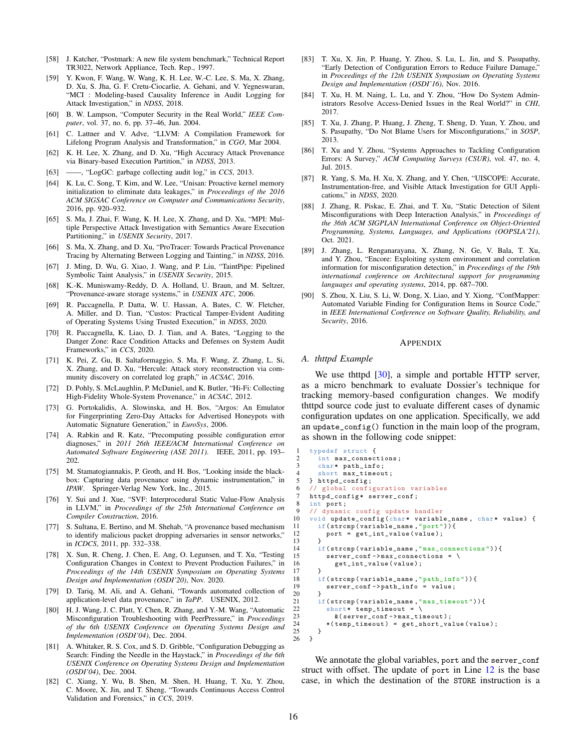- <span id="page-15-22"></span>[58] J. Katcher, "Postmark: A new file system benchmark," Technical Report TR3022, Network Appliance, Tech. Rep., 1997.
- <span id="page-15-8"></span>[59] Y. Kwon, F. Wang, W. Wang, K. H. Lee, W.-C. Lee, S. Ma, X. Zhang, D. Xu, S. Jha, G. F. Cretu-Ciocarlie, A. Gehani, and V. Yegneswaran, "MCI : Modeling-based Causality Inference in Audit Logging for Attack Investigation," in *NDSS*, 2018.
- <span id="page-15-6"></span>[60] B. W. Lampson, "Computer Security in the Real World," *IEEE Computer*, vol. 37, no. 6, pp. 37–46, Jun. 2004.
- <span id="page-15-15"></span>[61] C. Lattner and V. Adve, "LLVM: A Compilation Framework for Lifelong Program Analysis and Transformation," in *CGO*, Mar 2004.
- <span id="page-15-0"></span>[62] K. H. Lee, X. Zhang, and D. Xu, "High Accuracy Attack Provenance via Binary-based Execution Partition," in *NDSS*, 2013.
- <span id="page-15-4"></span>[63] ——, "LogGC: garbage collecting audit log," in *CCS*, 2013.
- <span id="page-15-24"></span>[64] K. Lu, C. Song, T. Kim, and W. Lee, "Unisan: Proactive kernel memory initialization to eliminate data leakages," in *Proceedings of the 2016 ACM SIGSAC Conference on Computer and Communications Security*, 2016, pp. 920–932.
- <span id="page-15-10"></span>[65] S. Ma, J. Zhai, F. Wang, K. H. Lee, X. Zhang, and D. Xu, "MPI: Multiple Perspective Attack Investigation with Semantics Aware Execution Partitioning," in *USENIX Security*, 2017.
- <span id="page-15-1"></span>[66] S. Ma, X. Zhang, and D. Xu, "ProTracer: Towards Practical Provenance Tracing by Alternating Between Logging and Tainting," in *NDSS*, 2016.
- <span id="page-15-23"></span>[67] J. Ming, D. Wu, G. Xiao, J. Wang, and P. Liu, "TaintPipe: Pipelined Symbolic Taint Analysis," in *USENIX Security*, 2015.
- <span id="page-15-12"></span>[68] K.-K. Muniswamy-Reddy, D. A. Holland, U. Braun, and M. Seltzer, "Provenance-aware storage systems," in *USENIX ATC*, 2006.
- <span id="page-15-13"></span>[69] R. Paccagnella, P. Datta, W. U. Hassan, A. Bates, C. W. Fletcher, A. Miller, and D. Tian, "Custos: Practical Tamper-Evident Auditing of Operating Systems Using Trusted Execution," in *NDSS*, 2020.
- <span id="page-15-14"></span>[70] R. Paccagnella, K. Liao, D. J. Tian, and A. Bates, "Logging to the Danger Zone: Race Condition Attacks and Defenses on System Audit Frameworks," in *CCS*, 2020.
- <span id="page-15-5"></span>[71] K. Pei, Z. Gu, B. Saltaformaggio, S. Ma, F. Wang, Z. Zhang, L. Si, X. Zhang, and D. Xu, "Hercule: Attack story reconstruction via community discovery on correlated log graph," in *ACSAC*, 2016.
- <span id="page-15-2"></span>[72] D. Pohly, S. McLaughlin, P. McDaniel, and K. Butler, "Hi-Fi: Collecting High-Fidelity Whole-System Provenance," in *ACSAC*, 2012.
- <span id="page-15-11"></span>[73] G. Portokalidis, A. Slowinska, and H. Bos, "Argos: An Emulator for Fingerprinting Zero-Day Attacks for Advertised Honeypots with Automatic Signature Generation," in *EuroSys*, 2006.
- <span id="page-15-28"></span>[74] A. Rabkin and R. Katz, "Precomputing possible configuration error diagnoses," in *2011 26th IEEE/ACM International Conference on Automated Software Engineering (ASE 2011)*. IEEE, 2011, pp. 193– 202.
- <span id="page-15-33"></span>[75] M. Stamatogiannakis, P. Groth, and H. Bos, "Looking inside the blackbox: Capturing data provenance using dynamic instrumentation," in *IPAW*. Springer-Verlag New York, Inc., 2015.
- <span id="page-15-20"></span>[76] Y. Sui and J. Xue, "SVF: Interprocedural Static Value-Flow Analysis in LLVM," in *Proceedings of the 25th International Conference on Compiler Construction*, 2016.
- <span id="page-15-3"></span>[77] S. Sultana, E. Bertino, and M. Shehab, "A provenance based mechanism to identify malicious packet dropping adversaries in sensor networks," in *ICDCS*, 2011, pp. 332–338.
- <span id="page-15-18"></span>[78] X. Sun, R. Cheng, J. Chen, E. Ang, O. Legunsen, and T. Xu, "Testing Configuration Changes in Context to Prevent Production Failures," in *Proceedings of the 14th USENIX Symposium on Operating Systems Design and Implementation (OSDI'20)*, Nov. 2020.
- <span id="page-15-32"></span>[79] D. Tariq, M. Ali, and A. Gehani, "Towards automated collection of application-level data provenance," in *TaPP*. USENIX, 2012.
- <span id="page-15-29"></span>[80] H. J. Wang, J. C. Platt, Y. Chen, R. Zhang, and Y.-M. Wang, "Automatic Misconfiguration Troubleshooting with PeerPressure," in *Proceedings of the 6th USENIX Conference on Operating Systems Design and Implementation (OSDI'04)*, Dec. 2004.
- <span id="page-15-30"></span>[81] A. Whitaker, R. S. Cox, and S. D. Gribble, "Configuration Debugging as Search: Finding the Needle in the Haystack," in *Proceedings of the 6th USENIX Conference on Operating Systems Design and Implementation (OSDI'04)*, Dec. 2004.
- <span id="page-15-7"></span>[82] C. Xiang, Y. Wu, B. Shen, M. Shen, H. Huang, T. Xu, Y. Zhou, C. Moore, X. Jin, and T. Sheng, "Towards Continuous Access Control Validation and Forensics," in *CCS*, 2019.
- <span id="page-15-17"></span>[83] T. Xu, X. Jin, P. Huang, Y. Zhou, S. Lu, L. Jin, and S. Pasupathy, "Early Detection of Configuration Errors to Reduce Failure Damage," in *Proceedings of the 12th USENIX Symposium on Operating Systems Design and Implementation (OSDI'16)*, Nov. 2016.
- <span id="page-15-31"></span>[84] T. Xu, H. M. Naing, L. Lu, and Y. Zhou, "How Do System Administrators Resolve Access-Denied Issues in the Real World?" in *CHI*, 2017.
- <span id="page-15-16"></span>[85] T. Xu, J. Zhang, P. Huang, J. Zheng, T. Sheng, D. Yuan, Y. Zhou, and S. Pasupathy, "Do Not Blame Users for Misconfigurations," in *SOSP*, 2013.
- <span id="page-15-25"></span>[86] T. Xu and Y. Zhou, "Systems Approaches to Tackling Configuration Errors: A Survey," *ACM Computing Surveys (CSUR)*, vol. 47, no. 4, Jul. 2015.
- <span id="page-15-9"></span>[87] R. Yang, S. Ma, H. Xu, X. Zhang, and Y. Chen, "UISCOPE: Accurate, Instrumentation-free, and Visible Attack Investigation for GUI Applications," in *NDSS*, 2020.
- <span id="page-15-27"></span>[88] J. Zhang, R. Piskac, E. Zhai, and T. Xu, "Static Detection of Silent Misconfigurations with Deep Interaction Analysis," in *Proceedings of the 36th ACM SIGPLAN International Conference on Object-Oriented Programming, Systems, Languages, and Applications (OOPSLA'21)*, Oct. 2021.
- <span id="page-15-26"></span>[89] J. Zhang, L. Renganarayana, X. Zhang, N. Ge, V. Bala, T. Xu, and Y. Zhou, "Encore: Exploiting system environment and correlation information for misconfiguration detection," in *Proceedings of the 19th international conference on Architectural support for programming languages and operating systems*, 2014, pp. 687–700.
- <span id="page-15-19"></span>[90] S. Zhou, X. Liu, S. Li, W. Dong, X. Liao, and Y. Xiong, "ConfMapper: Automated Variable Finding for Configuration Items in Source Code,' in *IEEE International Conference on Software Quality, Reliability, and Security*, 2016.

#### APPENDIX

#### <span id="page-15-21"></span>*A. thttpd Example*

We use thttpd [\[30\]](#page-14-55), a simple and portable HTTP server, as a micro benchmark to evaluate Dossier's technique for tracking memory-based configuration changes. We modify thttpd source code just to evaluate different cases of dynamic configuration updates on one application. Specifically, we add an update\_config() function in the main loop of the program, as shown in the following code snippet:

```
1 typedef struct {<br>2 int max connect
 2 int max_connections;<br>3 char* path info:
 3 char* path_info;<br>
4 short may timeou
 4 short max_timeout;<br>5 } httpd config:
 5 } httpd_config;<br>6 // global config
          global configuration variables
 7 httpd_config* server_conf;<br>8 int port:
 \begin{array}{c} 8 \text{ int port}; \\ 9 \text{ // dynamic} \end{array}9 // dynamic config update handler<br>10 void update config (char* variable
       void update_config ( char* variable_name, char* value) {
11 if(\text{strcmp}(\text{variable\_name}, \text{"port"))}<br>12 port = get int value(value):
         port = get\_int\_value ( value ) ;
14 if(strcmp(variable_name, "max_{\text{connections}}")){<br>15 server conf->max connections = \
             \text{server\_conf} -> max_connections = \
16 get_int_value (value);
\begin{array}{cc} 17 & & \text{)} \\ 18 & & \text{i} \end{array}if(strcmp(variable_name,"path_info")){
19 server_conf -> path_info = value;<br>20 }
          if(strcmp(variable_name,"max_timeout")){
22 short* temp_timeout = \setminus<br>
23 k (server conf->max times)
23 \& (server_conf->max_timeout);<br>24 * (temp timeout) = get short va
24 *(temp\_timeout) = get\_short\_value (value);<br>25 }
25 }<br>26 }
     26 }
```
We annotate the global variables, port and the server\_conf struct with offset. The update of port in Line [12](#page-15-34) is the base case, in which the destination of the STORE instruction is a

<span id="page-15-35"></span><span id="page-15-34"></span>13 }

<span id="page-15-38"></span><span id="page-15-37"></span><span id="page-15-36"></span> $\frac{20}{21}$